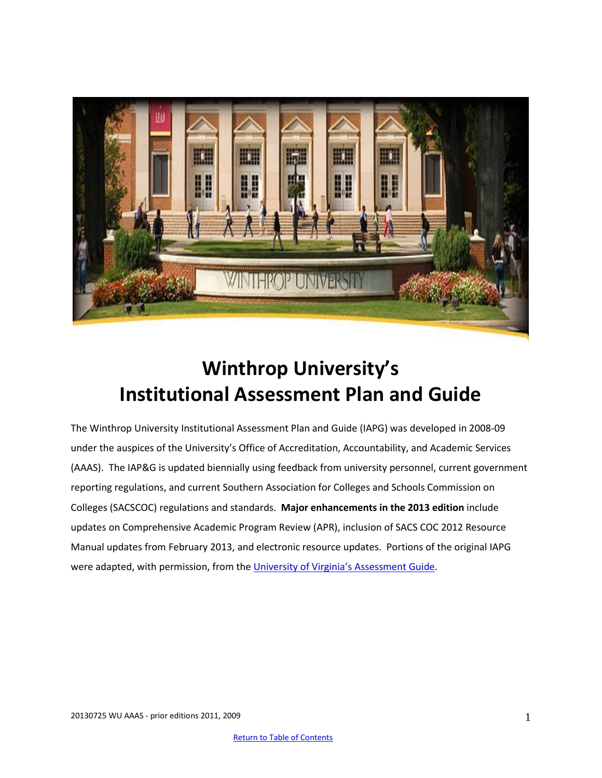

# **Winthrop University's Institutional Assessment Plan and Guide**

The Winthrop University Institutional Assessment Plan and Guide (IAPG) was developed in 2008-09 under the auspices of the University's Office of Accreditation, Accountability, and Academic Services (AAAS). The IAP&G is updated biennially using feedback from university personnel, current government reporting regulations, and current Southern Association for Colleges and Schools Commission on Colleges (SACSCOC) regulations and standards. **Major enhancements in the 2013 edition** include updates on Comprehensive Academic Program Review (APR), inclusion of SACS COC 2012 Resource Manual updates from February 2013, and electronic resource updates. Portions of the original IAPG were adapted, with permission, from the University of Virgini[a's Assessment Guide](uhttp://www.web.virginia.edu/iaas/assessment/assessment.shtmU).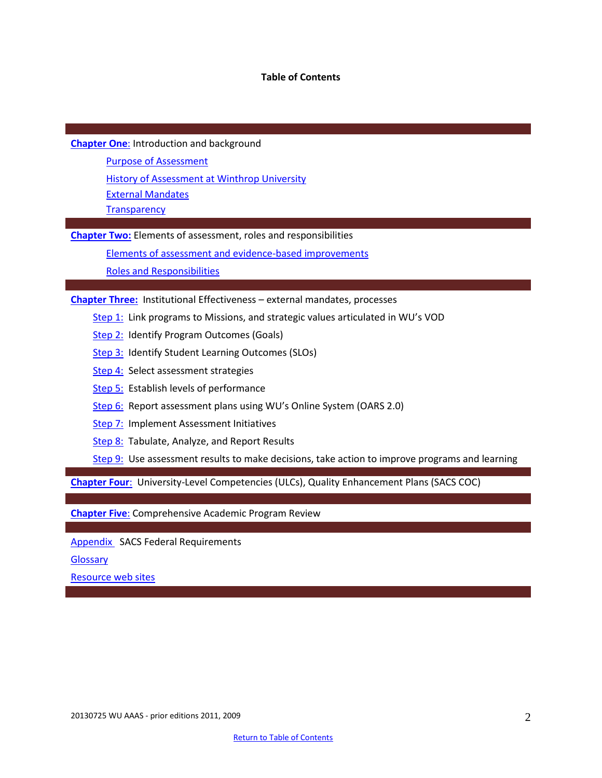#### **Table of Contents**

**[Chapter One](#page-1-0)**: Introduction and background

[Purpose of Assessment](#page-2-0)

[History of Assessment at Winthrop University](#page-2-1)

[External Mandates](#page-3-0)

**[Transparency](#page-5-0)** 

**[Chapter Two:](#page-8-0)** Elements of assessment, roles and responsibilities

Elements of assessment and evidence-based improvements

[Roles and Responsibilities](#page-10-0)

**[Chapter Three:](#page-11-0)** Institutional Effectiveness – external mandates, processes

- [Step 1:](#page-11-1) Link programs to Missions, and strategic values articulated in WU's VOD
- [Step 2:](#page-11-2) Identify Program Outcomes (Goals)
- [Step 3:](#page-11-3) Identify Student Learning Outcomes (SLOs)
- [Step 4:](#page-12-0) Select assessment strategies
- [Step 5:](#page-14-0) Establish levels of performance
- [Step 6:](#page-14-1) Report assessment plans using WU's Online System (OARS 2.0)
- [Step 7:](#page-15-0) Implement Assessment Initiatives
- [Step 8:](#page-17-0) Tabulate, Analyze, and Report Results
- [Step 9:](#page-18-0) Use assessment results to make decisions, take action to improve programs and learning

**[Chapter Four](#page-20-0)**: University-Level Competencies (ULCs), Quality Enhancement Plans (SACS COC)

**[Chapter Five](#page-25-0)**: Comprehensive Academic Program Review

[Appendix](#page-26-0) SACS Federal Requirements

**[Glossary](#page-28-0)** 

i

<span id="page-1-0"></span>[Resource web sites](#page-37-0)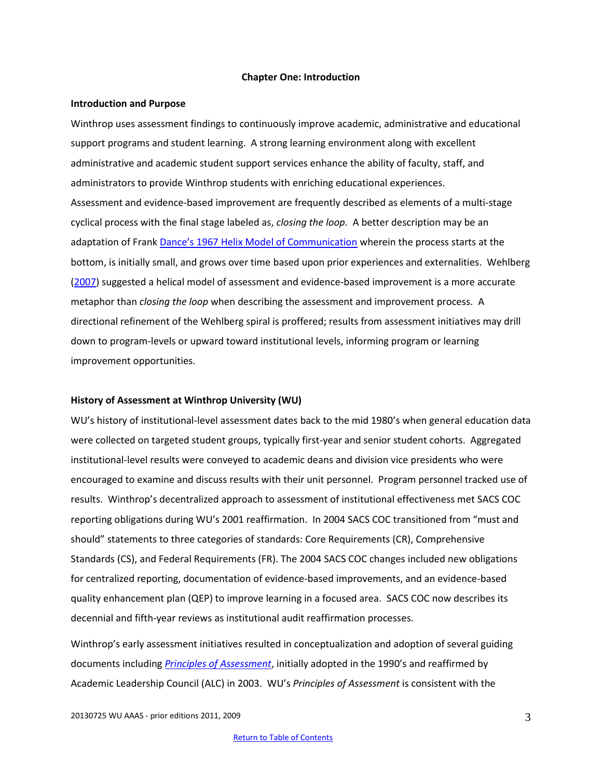#### **Chapter One: Introduction**

#### <span id="page-2-0"></span>**Introduction and Purpose**

Winthrop uses assessment findings to continuously improve academic, administrative and educational support programs and student learning. A strong learning environment along with excellent administrative and academic student support services enhance the ability of faculty, staff, and administrators to provide Winthrop students with enriching educational experiences. Assessment and evidence-based improvement are frequently described as elements of a multi-stage cyclical process with the final stage labeled as, *closing the loop.* A better description may be an adaptation of Frank Dance'[s 1967 Helix Model of Communication](http://communicationtheory.org/helical-model-of-communication/) wherein the process starts at the bottom, is initially small, and grows over time based upon prior experiences and externalities. Wehlberg [\(2007\)](http://onlinelibrary.wiley.com/doi/10.1002/au.192/pdf) suggested a helical model of assessment and evidence-based improvement is a more accurate metaphor than *closing the loop* when describing the assessment and improvement process. A directional refinement of the Wehlberg spiral is proffered; results from assessment initiatives may drill down to program-levels or upward toward institutional levels, informing program or learning improvement opportunities.

#### <span id="page-2-1"></span>**History of Assessment at Winthrop University (WU)**

WU's history of institutional-level assessment dates back to the mid 1980's when general education data were collected on targeted student groups, typically first-year and senior student cohorts. Aggregated institutional-level results were conveyed to academic deans and division vice presidents who were encouraged to examine and discuss results with their unit personnel. Program personnel tracked use of results. Winthrop's decentralized approach to assessment of institutional effectiveness met SACS COC reporting obligations during WU's 2001 reaffirmation. In 2004 SACS COC transitioned from "must and should" statements to three categories of standards: Core Requirements (CR), Comprehensive Standards (CS), and Federal Requirements (FR). The 2004 SACS COC changes included new obligations for centralized reporting, documentation of evidence-based improvements, and an evidence-based quality enhancement plan (QEP) to improve learning in a focused area. SACS COC now describes its decennial and fifth-year reviews as institutional audit reaffirmation processes.

Winthrop's early assessment initiatives resulted in conceptualization and adoption of several guiding documents including *[Principles of Assessment](http://www.winthrop.edu/accountability/default.aspx?id=6875)*, initially adopted in the 1990's and reaffirmed by Academic Leadership Council (ALC) in 2003. WU's *Principles of Assessment* is consistent with the

20130725 WU AAAS - prior editions 2011, 2009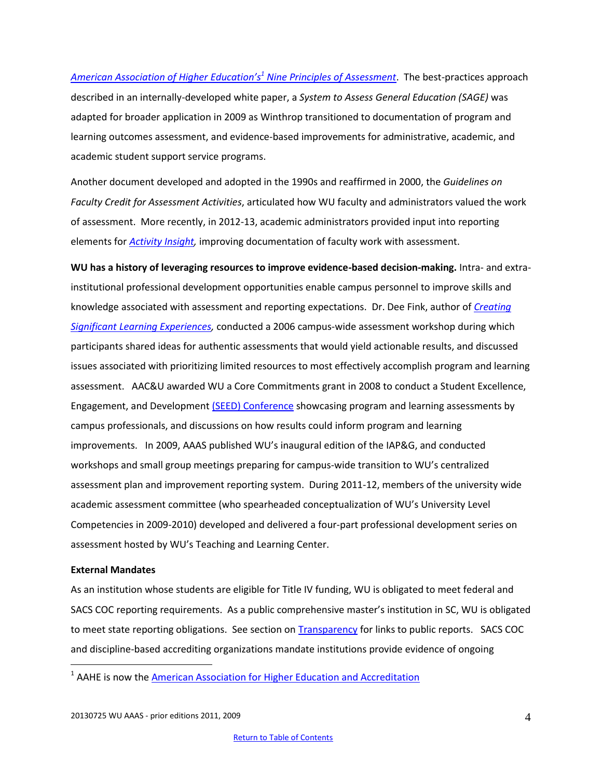*[American Association of Higher](http://www.academicprograms.calpoly.edu/pdfs/assess/nine_principles_good_practice.pdf) Education's<sup>1</sup> Nine Principles of Assessment*. The best-practices approach described in an internally-developed white paper, a *System to Assess General Education (SAGE)* was adapted for broader application in 2009 as Winthrop transitioned to documentation of program and learning outcomes assessment, and evidence-based improvements for administrative, academic, and academic student support service programs.

Another document developed and adopted in the 1990s and reaffirmed in 2000, the *Guidelines on Faculty Credit for Assessment Activities*, articulated how WU faculty and administrators valued the work of assessment. More recently, in 2012-13, academic administrators provided input into reporting elements for *[Activity Insight,](http://www.digitalmeasures.com/activity-insight/benefits/)* improving documentation of faculty work with assessment.

**WU has a history of leveraging resources to improve evidence-based decision-making.** Intra- and extrainstitutional professional development opportunities enable campus personnel to improve skills and knowledge associated with assessment and reporting expectations. Dr. Dee Fink, author of *[Creating](http://www.josseybass.com/WileyCDA/WileyTitle/productCd-0787960551.html)  [Significant Learning Experiences,](http://www.josseybass.com/WileyCDA/WileyTitle/productCd-0787960551.html)* conducted a 2006 campus-wide assessment workshop during which participants shared ideas for authentic assessments that would yield actionable results, and discussed issues associated with prioritizing limited resources to most effectively accomplish program and learning assessment. AAC&U awarded WU a Core Commitments grant in 2008 to conduct a Student Excellence, Engagement, and Developmen[t \(SEED\) Conference](http://www2.winthrop.edu/universitycollege/SEED/SEED.htm) showcasing program and learning assessments by campus professionals, and discussions on how results could inform program and learning improvements. In 2009, AAAS published WU's inaugural edition of the IAP&G, and conducted workshops and small group meetings preparing for campus-wide transition to WU's centralized assessment plan and improvement reporting system. During 2011-12, members of the university wide academic assessment committee (who spearheaded conceptualization of WU's University Level Competencies in 2009-2010) developed and delivered a four-part professional development series on assessment hosted by WU's Teaching and Learning Center.

#### <span id="page-3-0"></span>**External Mandates**

 $\overline{a}$ 

As an institution whose students are eligible for Title IV funding, WU is obligated to meet federal and SACS COC reporting requirements. As a public comprehensive master's institution in SC, WU is obligated to meet state reporting obligations. See section on **Transparency** for links to public reports. SACS COC and discipline-based accrediting organizations mandate institutions provide evidence of ongoing

<sup>&</sup>lt;sup>1</sup> AAHE is now the <u>American Association for Higher Education and Accreditation</u>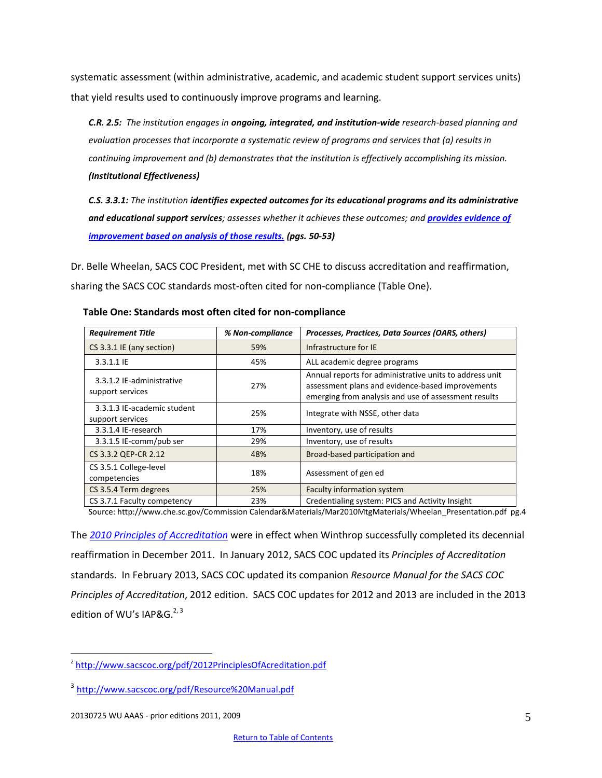systematic assessment (within administrative, academic, and academic student support services units) that yield results used to continuously improve programs and learning.

*C.R. 2.5: The institution engages in ongoing, integrated, and institution-wide research-based planning and evaluation processes that incorporate a systematic review of programs and services that (a) results in continuing improvement and (b) demonstrates that the institution is effectively accomplishing its mission. (Institutional Effectiveness)*

*C.S. 3.3.1: The institution identifies expected outcomes for its educational programs and its administrative*  **and educational support services**; assesses whether it achieves these outcomes; and **provides evidence of** *[improvement based on analysis of those results.](http://www.sacscoc.org/pdf/Resource%20Manual.pdf) (pgs. 50-53)*

Dr. Belle Wheelan, SACS COC President, met with SC CHE to discuss accreditation and reaffirmation, sharing the SACS COC standards most-often cited for non-compliance (Table One).

| <b>Requirement Title</b>                        | % Non-compliance | Processes, Practices, Data Sources (OARS, others)                                                                                                                   |  |  |
|-------------------------------------------------|------------------|---------------------------------------------------------------------------------------------------------------------------------------------------------------------|--|--|
| CS 3.3.1 IE (any section)                       | 59%              | Infrastructure for IE                                                                                                                                               |  |  |
| 3.3.1.1 IE                                      | 45%              | ALL academic degree programs                                                                                                                                        |  |  |
| 3.3.1.2 IE-administrative<br>support services   | 27%              | Annual reports for administrative units to address unit<br>assessment plans and evidence-based improvements<br>emerging from analysis and use of assessment results |  |  |
| 3.3.1.3 IE-academic student<br>support services | 25%              | Integrate with NSSE, other data                                                                                                                                     |  |  |
| 3.3.1.4 IE-research                             | 17%              | Inventory, use of results                                                                                                                                           |  |  |
| 3.3.1.5 IE-comm/pub ser                         | 29%              | Inventory, use of results                                                                                                                                           |  |  |
| CS 3.3.2 QEP-CR 2.12                            | 48%              | Broad-based participation and                                                                                                                                       |  |  |
| CS 3.5.1 College-level<br>competencies          | 18%              | Assessment of gen ed                                                                                                                                                |  |  |
| CS 3.5.4 Term degrees                           | 25%              | <b>Faculty information system</b>                                                                                                                                   |  |  |
| CS 3.7.1 Faculty competency                     | 23%              | Credentialing system: PICS and Activity Insight                                                                                                                     |  |  |

#### **Table One: Standards most often cited for non-compliance**

Source: http://www.che.sc.gov/Commission Calendar&Materials/Mar2010MtgMaterials/Wheelan\_Presentation.pdf pg.4

The *[2010 Principles of Accreditation](http://www.sacscoc.org/pdf/2010principlesofacreditation.pdf)* were in effect when Winthrop successfully completed its decennial reaffirmation in December 2011. In January 2012, SACS COC updated its *Principles of Accreditation* standards. In February 2013, SACS COC updated its companion *Resource Manual for the SACS COC Principles of Accreditation*, 2012 edition. SACS COC updates for 2012 and 2013 are included in the 2013 edition of WU's IAP&G.<sup>2, 3</sup>

 $\overline{a}$ 

<sup>&</sup>lt;sup>2</sup> <http://www.sacscoc.org/pdf/2012PrinciplesOfAcreditation.pdf>

<sup>3</sup> <http://www.sacscoc.org/pdf/Resource%20Manual.pdf>

<sup>20130725</sup> WU AAAS - prior editions 2011, 2009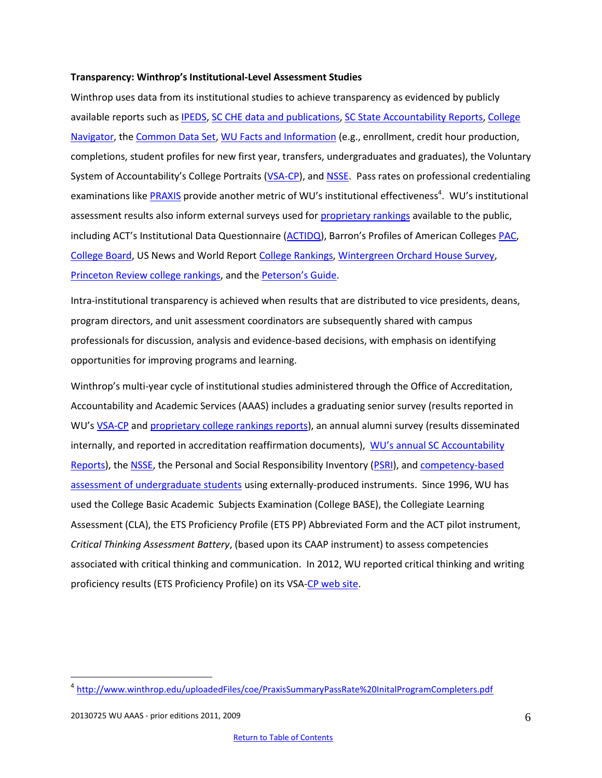#### <span id="page-5-0"></span>**Transparency: Winthrop's Institutional-Level Assessment Studies**

Winthrop uses data from its institutional studies to achieve transparency as evidenced by publicly available reports such a[s IPEDS,](http://nces.ed.gov/ipeds/datacenter/Default.aspx) [SC CHE data and publications,](http://www.che.sc.gov/New_Web/Data&Pubs.htm) [SC State Accountability Reports,](http://www.scstatehouse.gov/reports/aar2012/aar2012.php) College [Navigator,](http://nces.ed.gov/collegenavigator/?q=Winthrop+University&s=SC&zc=29733&zd=0&of=3&id=218964) the [Common Data Set,](http://www.winthrop.edu/accountability/default.aspx?id=11925) [WU Facts and Information](http://www.winthrop.edu/accountability/default.aspx?id=20545) (e.g., enrollment, credit hour production, completions, student profiles for new first year, transfers, undergraduates and graduates), the Voluntary System of Accountability's College Portraits ([VSA-CP\)](http://www.collegeportraits.org/SC/WU/undergrad_success), and [NSSE.](http://www2.winthrop.edu/effectiveness/nsse/) Pass rates on professional credentialing examinations like *PRAXIS* provide another metric of WU's institutional effectiveness<sup>4</sup>. WU's institutional assessment results also inform external surveys used for [proprietary rankings](http://www.winthrop.edu/president/secondary.aspx?id=30199) available to the public, including ACT's Institutional Data Questionnaire [\(ACTIDQ](http://www.act.org/idq/)), Barron's Profiles of American Colleges [PAC,](http://www.barronspac.com/) [College Board,](http://www.collegeboard.org/) US News and World Report [College Rankings,](http://colleges.usnews.rankingsandreviews.com/best-colleges) [Wintergreen Orchard House Survey,](http://www.wintergreenorchardhouse.com/about.php?subPageCat=aboutUs&pageCat=about) [Princeton Review college rankings,](http://www.princetonreview.com/college-rankings.aspx) and the [Peterson's Guide](http://www.petersons.com/college-search.aspx).

Intra-institutional transparency is achieved when results that are distributed to vice presidents, deans, program directors, and unit assessment coordinators are subsequently shared with campus professionals for discussion, analysis and evidence-based decisions, with emphasis on identifying opportunities for improving programs and learning.

Winthrop's multi-year cycle of institutional studies administered through the Office of Accreditation, Accountability and Academic Services (AAAS) includes a graduating senior survey (results reported in WU's **[VSA-CP](http://www.collegeportraits.org/SC/WU/degrees)** an[d proprietary college rankings reports\)](http://www.winthrop.edu/president/secondary.aspx?id=30199), an annual alumni survey (results disseminated internally, and reported in accreditation reaffirmation documents), WU's annual [SC Accountability](http://www.scstatehouse.gov/reports/aar2012/aar2012.php)  [Reports\)](http://www.scstatehouse.gov/reports/aar2012/aar2012.php), the [NSSE,](http://www2.winthrop.edu/effectiveness/nsse/) the Personal and Social Responsibility Inventory [\(PSRI\)](http://www2.winthrop.edu/corecommitments/), an[d competency-based](http://www.collegeportraits.org/SC/WU/learning_outcomes)  [assessment of undergraduate students](http://www.collegeportraits.org/SC/WU/learning_outcomes) using externally-produced instruments. Since 1996, WU has used the College Basic Academic Subjects Examination (College BASE), the Collegiate Learning Assessment (CLA), the ETS Proficiency Profile (ETS PP) Abbreviated Form and the ACT pilot instrument, *Critical Thinking Assessment Battery*, (based upon its CAAP instrument) to assess competencies associated with critical thinking and communication. In 2012, WU reported critical thinking and writing proficiency results (ETS Proficiency Profile) on its VSA[-CP web site.](http://www.collegeportraits.org/SC/WU/learning_outcomes)

 $\overline{a}$ 

<sup>4</sup> <http://www.winthrop.edu/uploadedFiles/coe/PraxisSummaryPassRate%20InitalProgramCompleters.pdf>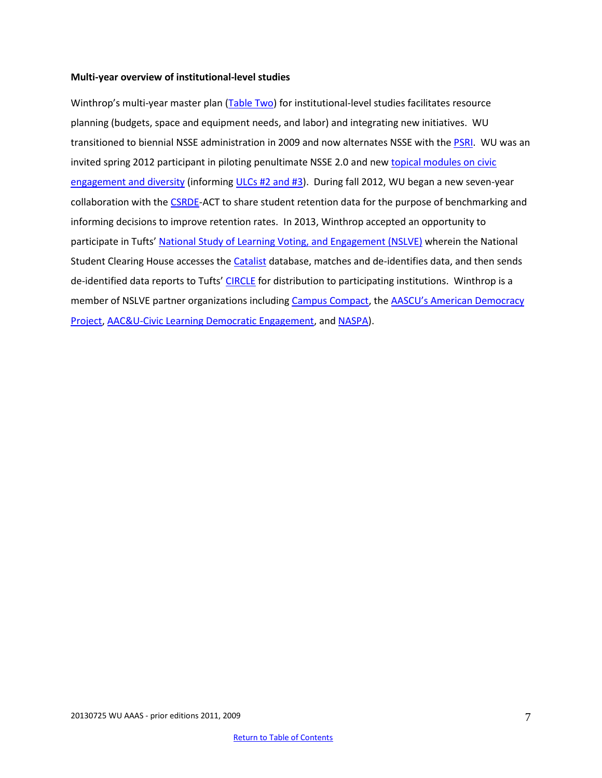#### **Multi-year overview of institutional-level studies**

Winthrop's multi-year master plan [\(Table Two\)](#page-7-0) for institutional-level studies facilitates resource planning (budgets, space and equipment needs, and labor) and integrating new initiatives. WU transitioned to biennial NSSE administration in 2009 and now alternates NSSE with th[e PSRI.](http://www2.winthrop.edu/corecommitments/) WU was an invited spring 2012 participant in piloting penultimate NSSE 2.0 and new topical modules on civic [engagement and diversity](http://nsse.iub.edu/html/modules.cfm) (informing [ULCs #2 and #3\)](http://www.winthrop.edu/academic-affairs/secondary.aspx?id=15731). During fall 2012, WU began a new seven-year collaboration with th[e CSRDE-](http://csrde.ou.edu/web/consortium.html)ACT to share student retention data for the purpose of benchmarking and informing decisions to improve retention rates. In 2013, Winthrop accepted an opportunity to participate in Tufts' [National Study of Learning Voting, and Engagement \(NSLVE\)](http://www.civicyouth.org/nslve-faq/) wherein the National Student Clearing House accesses th[e Catalist](http://www.catalist.us/) database, matches and de-identifies data, and then sends de-identified data reports to Tufts' [CIRCLE](http://www.civicyouth.org/nslve-faq/) for distribution to participating institutions. Winthrop is a member of NSLVE partner organizations including [Campus Compact,](http://www2.winthrop.edu/sccampuscompact/) the [AASCU's American Democracy](http://www.aascu.org/programs/ADP/)  [Project,](http://www.aascu.org/programs/ADP/) [AAC&U-Civic Learning Democratic Engagement,](http://www.aacu.org/aacu_news/aacunews12/december12/news_events.cfm) and [NASPA\)](http://www.naspa.org/).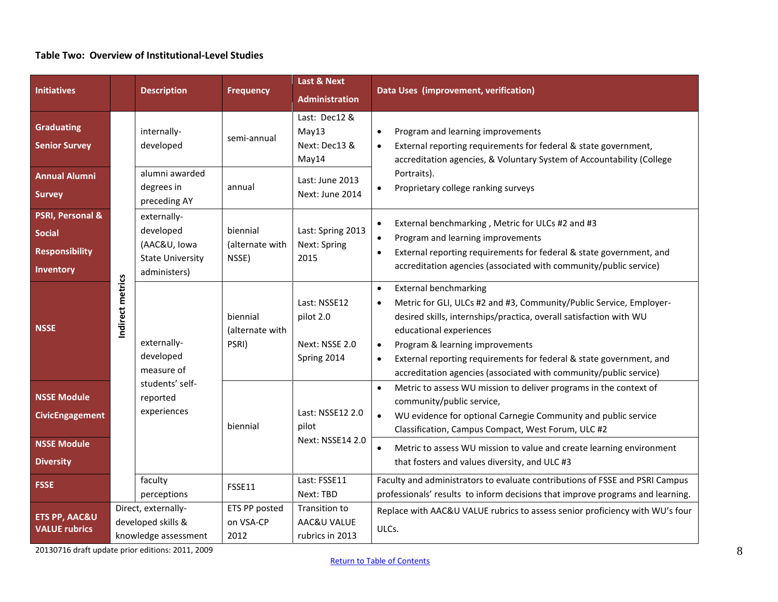# **Table Two: Overview of Institutional-Level Studies**

<span id="page-7-0"></span>

| <b>Initiatives</b>                                                                 |                  | <b>Description</b>                                                                   | <b>Frequency</b>                     | <b>Last &amp; Next</b><br><b>Administration</b>            | Data Uses (improvement, verification)                                                                                                                                                                                                                                                                                                                                                                                                   |  |  |
|------------------------------------------------------------------------------------|------------------|--------------------------------------------------------------------------------------|--------------------------------------|------------------------------------------------------------|-----------------------------------------------------------------------------------------------------------------------------------------------------------------------------------------------------------------------------------------------------------------------------------------------------------------------------------------------------------------------------------------------------------------------------------------|--|--|
| <b>Graduating</b><br><b>Senior Survey</b>                                          |                  | internally-<br>developed                                                             | semi-annual                          | Last: Dec12 &<br>May13<br>Next: Dec13 &<br>May14           | Program and learning improvements<br>$\bullet$<br>External reporting requirements for federal & state government,<br>$\bullet$<br>accreditation agencies, & Voluntary System of Accountability (College<br>Portraits).<br>Proprietary college ranking surveys<br>$\bullet$                                                                                                                                                              |  |  |
| <b>Annual Alumni</b><br><b>Survey</b>                                              |                  | alumni awarded<br>degrees in<br>preceding AY                                         | annual                               | Last: June 2013<br>Next: June 2014                         |                                                                                                                                                                                                                                                                                                                                                                                                                                         |  |  |
| <b>PSRI, Personal &amp;</b><br><b>Social</b><br><b>Responsibility</b><br>Inventory |                  | externally-<br>developed<br>(AAC&U, Iowa<br><b>State University</b><br>administers)  | biennial<br>(alternate with<br>NSSE) | Last: Spring 2013<br>Next: Spring<br>2015                  | External benchmarking, Metric for ULCs #2 and #3<br>Program and learning improvements<br>$\bullet$<br>External reporting requirements for federal & state government, and<br>$\bullet$<br>accreditation agencies (associated with community/public service)                                                                                                                                                                             |  |  |
| <b>NSSE</b>                                                                        | Indirect metrics | externally-<br>developed<br>measure of<br>students' self-<br>reported<br>experiences | biennial<br>(alternate with<br>PSRI) | Last: NSSE12<br>pilot 2.0<br>Next: NSSE 2.0<br>Spring 2014 | <b>External benchmarking</b><br>$\bullet$<br>Metric for GLI, ULCs #2 and #3, Community/Public Service, Employer-<br>$\bullet$<br>desired skills, internships/practica, overall satisfaction with WU<br>educational experiences<br>Program & learning improvements<br>$\bullet$<br>External reporting requirements for federal & state government, and<br>$\bullet$<br>accreditation agencies (associated with community/public service) |  |  |
| <b>NSSE Module</b><br><b>CivicEngagement</b><br><b>NSSE Module</b>                 |                  |                                                                                      | biennial                             | Last: NSSE12 2.0<br>pilot<br>Next: NSSE14 2.0              | Metric to assess WU mission to deliver programs in the context of<br>$\bullet$<br>community/public service,<br>WU evidence for optional Carnegie Community and public service<br>$\bullet$<br>Classification, Campus Compact, West Forum, ULC #2<br>Metric to assess WU mission to value and create learning environment<br>$\bullet$                                                                                                   |  |  |
| <b>Diversity</b><br><b>FSSE</b>                                                    |                  | faculty<br>perceptions                                                               | FSSE11                               | Last: FSSE11<br>Next: TBD                                  | that fosters and values diversity, and ULC #3<br>Faculty and administrators to evaluate contributions of FSSE and PSRI Campus<br>professionals' results to inform decisions that improve programs and learning.                                                                                                                                                                                                                         |  |  |
| <b>ETS PP, AAC&amp;U</b><br><b>VALUE rubrics</b>                                   |                  | Direct, externally-<br>developed skills &<br>knowledge assessment                    | ETS PP posted<br>on VSA-CP<br>2012   | Transition to<br>AAC&U VALUE<br>rubrics in 2013            | Replace with AAC&U VALUE rubrics to assess senior proficiency with WU's four<br>ULCs.                                                                                                                                                                                                                                                                                                                                                   |  |  |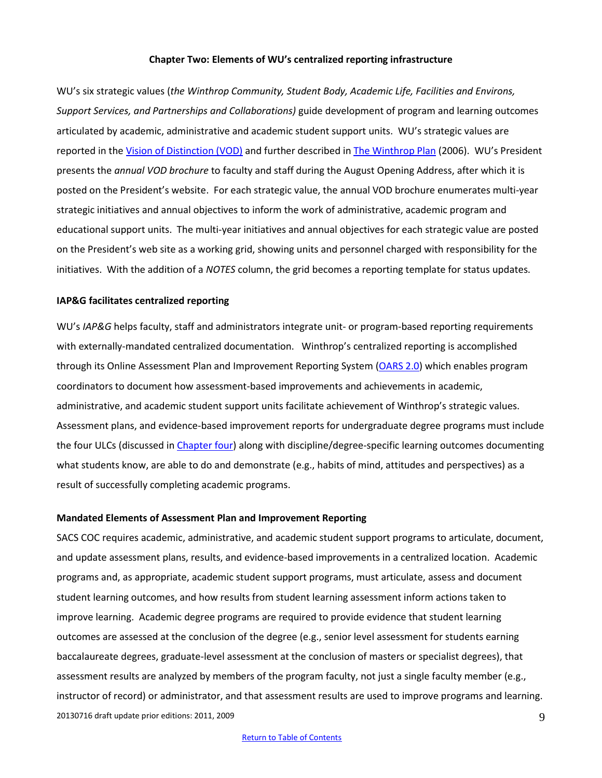#### **Chapter Two: Elements of WU's centralized reporting infrastructure**

<span id="page-8-0"></span>WU's six strategic values (*the Winthrop Community, Student Body, Academic Life, Facilities and Environs, Support Services, and Partnerships and Collaborations)* guide development of program and learning outcomes articulated by academic, administrative and academic student support units. WU's strategic values are reported in the [Vision of Distinction \(VOD\)](http://www.winthrop.edu/uploadedFiles/president/library/files/VisionofDistinction.pdf) and further described in [The Winthrop Plan](http://www.winthrop.edu/uploadedFiles/WinthropPlanbyNatureandCharacterTask%20Force%20FINAL%2002-4-06_2.pdf) (2006). WU's President presents the *annual VOD brochure* to faculty and staff during the August Opening Address, after which it is posted on the President's website. For each strategic value, the annual VOD brochure enumerates multi-year strategic initiatives and annual objectives to inform the work of administrative, academic program and educational support units. The multi-year initiatives and annual objectives for each strategic value are posted on the President's web site as a working grid, showing units and personnel charged with responsibility for the initiatives. With the addition of a *NOTES* column, the grid becomes a reporting template for status updates.

#### **IAP&G facilitates centralized reporting**

WU's *IAP&G* helps faculty, staff and administrators integrate unit- or program-based reporting requirements with externally-mandated centralized documentation. Winthrop's centralized reporting is accomplished through its Online Assessment Plan and Improvement Reporting System [\(OARS](https://www2.winthrop.edu/login/betatest/login.aspx?ReturnUrl=%2flogin%2fbetatest%2fDefault.aspx&s=0) 2.0) which enables program coordinators to document how assessment-based improvements and achievements in academic, administrative, and academic student support units facilitate achievement of Winthrop's strategic values. Assessment plans, and evidence-based improvement reports for undergraduate degree programs must include the four ULCs (discussed in [Chapter four\)](#page-20-0) along with discipline/degree-specific learning outcomes documenting what students know, are able to do and demonstrate (e.g., habits of mind, attitudes and perspectives) as a result of successfully completing academic programs.

#### **Mandated Elements of Assessment Plan and Improvement Reporting**

20130716 draft update prior editions: 2011, 2009 9 SACS COC requires academic, administrative, and academic student support programs to articulate, document, and update assessment plans, results, and evidence-based improvements in a centralized location. Academic programs and, as appropriate, academic student support programs, must articulate, assess and document student learning outcomes, and how results from student learning assessment inform actions taken to improve learning. Academic degree programs are required to provide evidence that student learning outcomes are assessed at the conclusion of the degree (e.g., senior level assessment for students earning baccalaureate degrees, graduate-level assessment at the conclusion of masters or specialist degrees), that assessment results are analyzed by members of the program faculty, not just a single faculty member (e.g., instructor of record) or administrator, and that assessment results are used to improve programs and learning.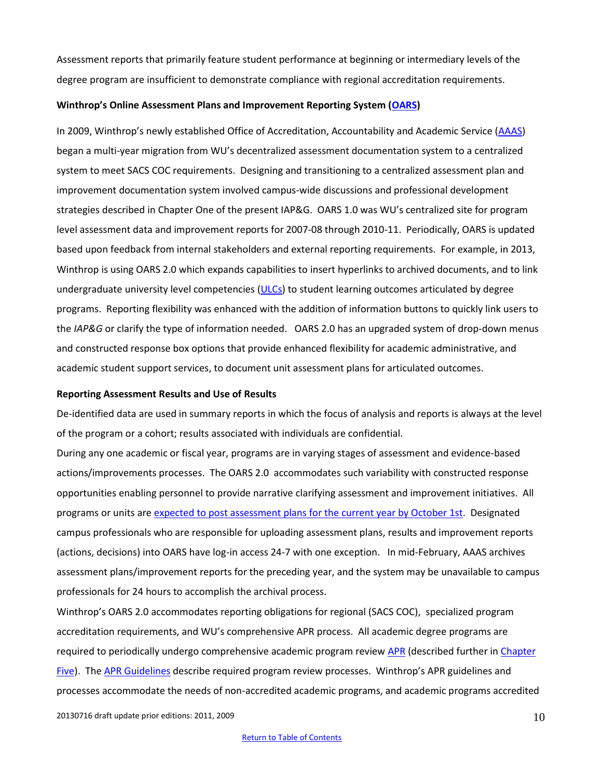Assessment reports that primarily feature student performance at beginning or intermediary levels of the degree program are insufficient to demonstrate compliance with regional accreditation requirements.

#### **Winthrop's Online Assessment Plans and Improvement Reporting System ([OARS\)](https://www2.winthrop.edu/login/betatest/login.aspx?ReturnUrl=%2flogin%2fbetatest%2fDefault.aspx&s=0)**

In 2009, Winthrop's newly established Office of Accreditation, Accountability and Academic Service ([AAAS\)](http://www.winthrop.edu/accountability/default.aspx?id=11925) began a multi-year migration from WU's decentralized assessment documentation system to a centralized system to meet SACS COC requirements. Designing and transitioning to a centralized assessment plan and improvement documentation system involved campus-wide discussions and professional development strategies described in Chapter One of the present IAP&G. OARS 1.0 was WU's centralized site for program level assessment data and improvement reports for 2007-08 through 2010-11. Periodically, OARS is updated based upon feedback from internal stakeholders and external reporting requirements. For example, in 2013, Winthrop is using OARS 2.0 which expands capabilities to insert hyperlinks to archived documents, and to link undergraduate university level competencies [\(ULCs\)](http://www.winthrop.edu/academic-affairs/secondary.aspx?id=15731) to student learning outcomes articulated by degree programs. Reporting flexibility was enhanced with the addition of information buttons to quickly link users to the *IAP&G* or clarify the type of information needed. OARS 2.0 has an upgraded system of drop-down menus and constructed response box options that provide enhanced flexibility for academic administrative, and academic student support services, to document unit assessment plans for articulated outcomes.

#### **Reporting Assessment Results and Use of Results**

De-identified data are used in summary reports in which the focus of analysis and reports is always at the level of the program or a cohort; results associated with individuals are confidential.

During any one academic or fiscal year, programs are in varying stages of assessment and evidence-based actions/improvements processes. The OARS 2.0 accommodates such variability with constructed response opportunities enabling personnel to provide narrative clarifying assessment and improvement initiatives. All programs or units ar[e expected to post assessment plans for the current year by October](http://www.winthrop.edu/uploadedFiles/WU_IE_AnnualReportCycle.pdf) 1st. Designated campus professionals who are responsible for uploading assessment plans, results and improvement reports (actions, decisions) into OARS have log-in access 24-7 with one exception. In mid-February, AAAS archives assessment plans/improvement reports for the preceding year, and the system may be unavailable to campus professionals for 24 hours to accomplish the archival process.

Winthrop's OARS 2.0 accommodates reporting obligations for regional (SACS COC), specialized program accreditation requirements, and WU's comprehensive APR process. All academic degree programs are required to periodically undergo comprehensive academic program review [APR](http://www2.winthrop.edu/public/programreview/) (described further in Chapter [Five\)](#page-25-0). The [APR Guidelines](http://www2.winthrop.edu/public/programreview/guidelines.aspx) describe required program review processes. Winthrop's APR guidelines and processes accommodate the needs of non-accredited academic programs, and academic programs accredited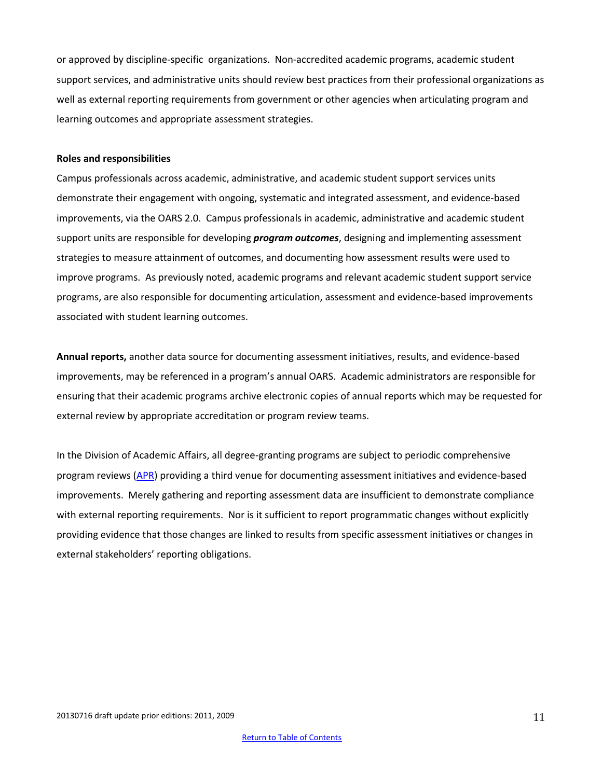or approved by discipline-specific organizations. Non-accredited academic programs, academic student support services, and administrative units should review best practices from their professional organizations as well as external reporting requirements from government or other agencies when articulating program and learning outcomes and appropriate assessment strategies.

#### <span id="page-10-0"></span>**Roles and responsibilities**

Campus professionals across academic, administrative, and academic student support services units demonstrate their engagement with ongoing, systematic and integrated assessment, and evidence-based improvements, via the OARS 2.0. Campus professionals in academic, administrative and academic student support units are responsible for developing *program outcomes*, designing and implementing assessment strategies to measure attainment of outcomes, and documenting how assessment results were used to improve programs. As previously noted, academic programs and relevant academic student support service programs, are also responsible for documenting articulation, assessment and evidence-based improvements associated with student learning outcomes.

**Annual reports,** another data source for documenting assessment initiatives, results, and evidence-based improvements, may be referenced in a program's annual OARS. Academic administrators are responsible for ensuring that their academic programs archive electronic copies of annual reports which may be requested for external review by appropriate accreditation or program review teams.

In the Division of Academic Affairs, all degree-granting programs are subject to periodic comprehensive program reviews [\(APR\)](http://www2.winthrop.edu/public/programreview/guidelines.aspx) providing a third venue for documenting assessment initiatives and evidence-based improvements. Merely gathering and reporting assessment data are insufficient to demonstrate compliance with external reporting requirements. Nor is it sufficient to report programmatic changes without explicitly providing evidence that those changes are linked to results from specific assessment initiatives or changes in external stakeholders' reporting obligations.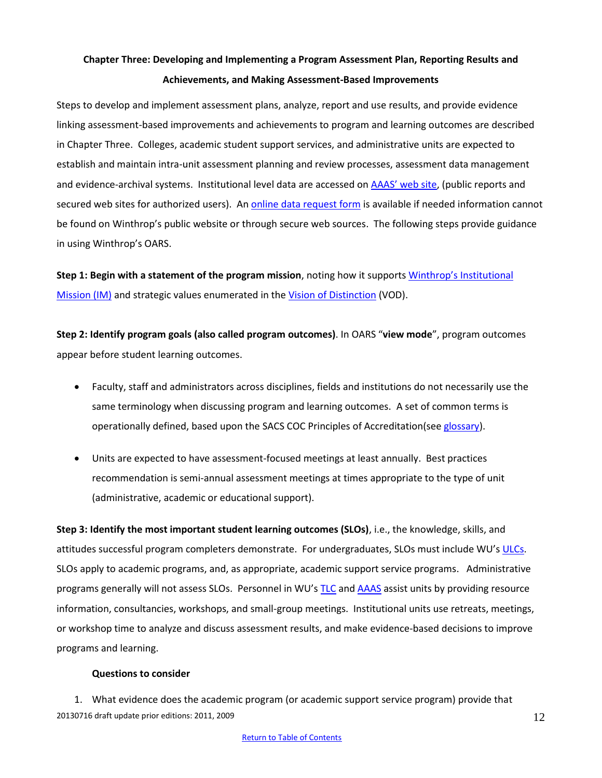# <span id="page-11-0"></span>**Chapter Three: Developing and Implementing a Program Assessment Plan, Reporting Results and Achievements, and Making Assessment-Based Improvements**

Steps to develop and implement assessment plans, analyze, report and use results, and provide evidence linking assessment-based improvements and achievements to program and learning outcomes are described in Chapter Three. Colleges, academic student support services, and administrative units are expected to establish and maintain intra-unit assessment planning and review processes, assessment data management and evidence-archival systems. Institutional level data are accessed on [AAAS' web site](http://www.winthrop.edu/accountability/default.aspx?id=7996), (public reports and secured web sites for authorized users). A[n online data request form](http://www.winthrop.edu/accountability/default.aspx?id=26159) is available if needed information cannot be found on Winthrop's public website or through secure web sources. The following steps provide guidance in using Winthrop's OARS.

<span id="page-11-1"></span>**Step 1: Begin with a statement of the program mission**, noting how it supports [Winthrop's Institutional](http://www.winthrop.edu/president/default.aspx?id=1620&ekmensel=10142f98_296_0_1620_3)  [Mission \(IM\)](http://www.winthrop.edu/president/default.aspx?id=1620&ekmensel=10142f98_296_0_1620_3) and strategic values enumerated in the [Vision of Distinction](http://www.winthrop.edu/president/default.aspx?id=1366) (VOD).

<span id="page-11-2"></span>**Step 2: Identify program goals (also called program outcomes)**. In OARS "**view mode**", program outcomes appear before student learning outcomes.

- Faculty, staff and administrators across disciplines, fields and institutions do not necessarily use the same terminology when discussing program and learning outcomes. A set of common terms is operationally defined, based upon the SACS COC Principles of Accreditation(see [glossary\)](#page-28-0).
- <span id="page-11-3"></span> Units are expected to have assessment-focused meetings at least annually. Best practices recommendation is semi-annual assessment meetings at times appropriate to the type of unit (administrative, academic or educational support).

**Step 3: Identify the most important student learning outcomes (SLOs)**, i.e., the knowledge, skills, and attitudes successful program completers demonstrate. For undergraduates, SLOs must include WU's [ULCs.](http://www.winthrop.edu/academic-affairs/secondary.aspx?id=15731) SLOs apply to academic programs, and, as appropriate, academic support service programs.Administrative programs generally will not assess SLOs. Personnel in WU's [TLC](http://www2.winthrop.edu/tlc/) an[d AAAS](http://www.winthrop.edu/accountability/default.aspx) assist units by providing resource information, consultancies, workshops, and small-group meetings. Institutional units use retreats, meetings, or workshop time to analyze and discuss assessment results, and make evidence-based decisions to improve programs and learning.

#### **Questions to consider**

20130716 draft update prior editions: 2011, 2009 1. What evidence does the academic program (or academic support service program) provide that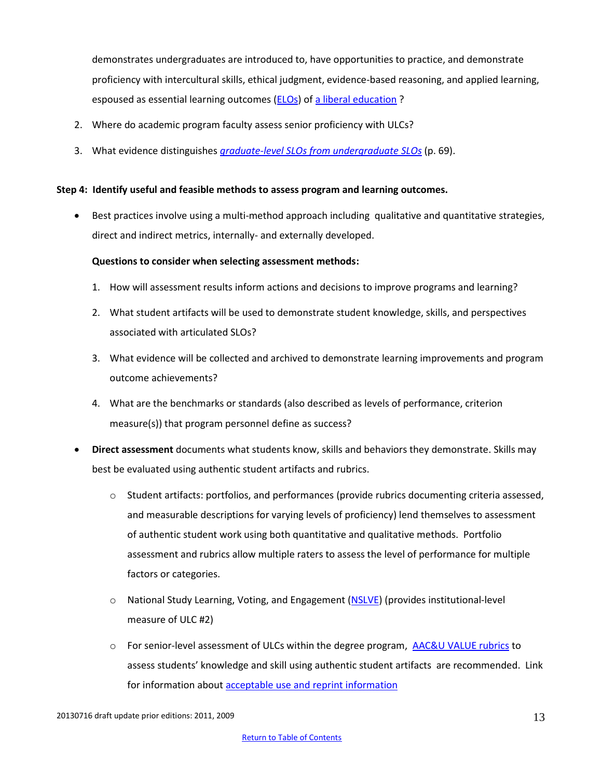demonstrates undergraduates are introduced to, have opportunities to practice, and demonstrate proficiency with intercultural skills, ethical judgment, evidence-based reasoning, and applied learning, espoused as essential learning outcomes [\(ELOs\)](http://www.aacu.org/leap/documents/EssentialOutcomes_Chart.pdf) o[f a liberal education](http://www.aacu.org/press_room/press_releases/2013/leapcompactandemployersurvey.cfm)?

- 2. Where do academic program faculty assess senior proficiency with ULCs?
- 3. What evidence distinguishes *graduate-level SLOs [from undergraduate](http://www.sacscoc.org/pdf/Resource%20Manual.pdf) SLOs* (p. 69).

# <span id="page-12-0"></span>**Step 4: Identify useful and feasible methods to assess program and learning outcomes.**

 Best practices involve using a multi-method approach including qualitative and quantitative strategies, direct and indirect metrics, internally- and externally developed.

# **Questions to consider when selecting assessment methods:**

- 1. How will assessment results inform actions and decisions to improve programs and learning?
- 2. What student artifacts will be used to demonstrate student knowledge, skills, and perspectives associated with articulated SLOs?
- 3. What evidence will be collected and archived to demonstrate learning improvements and program outcome achievements?
- 4. What are the benchmarks or standards (also described as levels of performance, criterion measure(s)) that program personnel define as success?
- **Direct assessment** documents what students know, skills and behaviors they demonstrate. Skills may best be evaluated using authentic student artifacts and rubrics.
	- $\circ$  Student artifacts: portfolios, and performances (provide rubrics documenting criteria assessed, and measurable descriptions for varying levels of proficiency) lend themselves to assessment of authentic student work using both quantitative and qualitative methods. Portfolio assessment and rubrics allow multiple raters to assess the level of performance for multiple factors or categories.
	- o National Study Learning, Voting, and Engagement [\(NSLVE\)](http://www.civicyouth.org/about-circle/nslve/) (provides institutional-level measure of ULC #2)
	- $\circ$  For senior-level assessment of ULCs within the degree program, [AAC&U VALUE rubrics](http://www.aacu.org/value/abouttherubrics.cfm) to assess students' knowledge and skill using authentic student artifacts are recommended. Link for information about [acceptable use and reprint information](http://www.aacu.org/value/rubrics/reprint.cfm)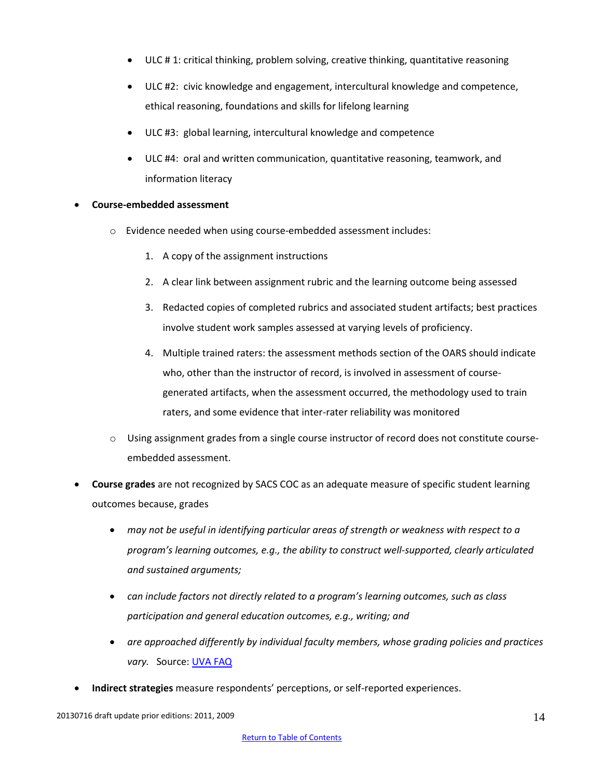- ULC # 1: critical thinking, problem solving, creative thinking, quantitative reasoning
- ULC #2: civic knowledge and engagement, intercultural knowledge and competence, ethical reasoning, foundations and skills for lifelong learning
- ULC #3: global learning, intercultural knowledge and competence
- ULC #4: oral and written communication, quantitative reasoning, teamwork, and information literacy

# **Course-embedded assessment**

- o Evidence needed when using course-embedded assessment includes:
	- 1. A copy of the assignment instructions
	- 2. A clear link between assignment rubric and the learning outcome being assessed
	- 3. Redacted copies of completed rubrics and associated student artifacts; best practices involve student work samples assessed at varying levels of proficiency.
	- 4. Multiple trained raters: the assessment methods section of the OARS should indicate who, other than the instructor of record, is involved in assessment of coursegenerated artifacts, when the assessment occurred, the methodology used to train raters, and some evidence that inter-rater reliability was monitored
- o Using assignment grades from a single course instructor of record does not constitute courseembedded assessment.
- **Course grades** are not recognized by SACS COC as an adequate measure of specific student learning outcomes because, grades
	- *may not be useful in identifying particular areas of strength or weakness with respect to a program's learning outcomes, e.g., the ability to construct well-supported, clearly articulated and sustained arguments;*
	- *can include factors not directly related to a program's learning outcomes, such as class participation and general education outcomes, e.g., writing; and*
	- *are approached differently by individual faculty members, whose grading policies and practices vary.* Source: [UVA FAQ](http://www.web.virginia.edu/iaas/assess/faq/assessment.shtm)
- **Indirect strategies** measure respondents' perceptions, or self-reported experiences.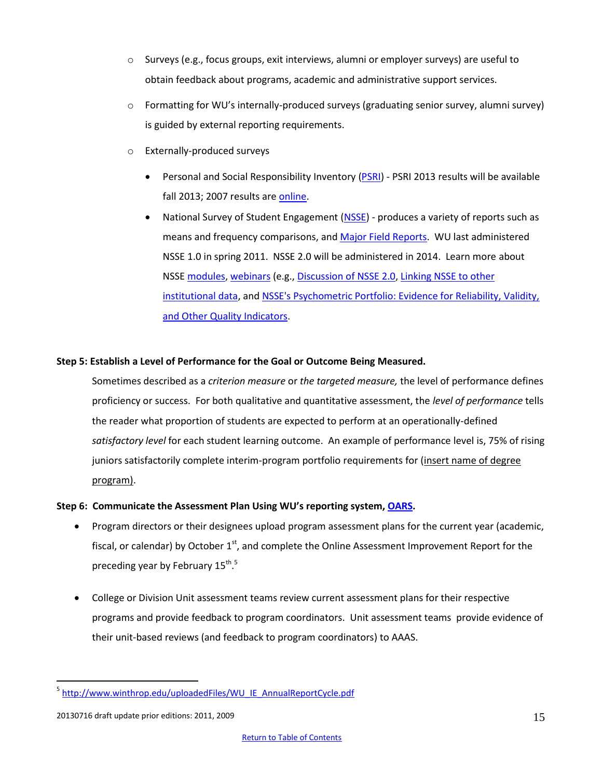- o Surveys (e.g., focus groups, exit interviews, alumni or employer surveys) are useful to obtain feedback about programs, academic and administrative support services.
- o Formatting for WU's internally-produced surveys (graduating senior survey, alumni survey) is guided by external reporting requirements.
- o Externally-produced surveys
	- **•** Personal and Social Responsibility Inventory [\(PSRI\)](http://www.psri.hs.iastate.edu/) PSRI 2013 results will be available fall 2013; 2007 results ar[e online.](https://www2.winthrop.edu/corecommitments/PSRI/login.axd?ReturnUrl=%2fcorecommitments%2fPSRI%2fPSRI.aspx&s=0)
	- National Survey of Student Engagement [\(NSSE\)](http://www2.winthrop.edu/effectiveness/nsse/) produces a variety of reports such as means and frequency comparisons, and [Major Field Reports.](http://nsse.iub.edu/html/major_field_report.cfm) WU last administered NSSE 1.0 in spring 2011. NSSE 2.0 will be administered in 2014. Learn more about NSS[E modules,](http://nsse.iub.edu/html/modules.cfm) [webinars](http://nsse.iub.edu/webinars/archives.cfm) (e.g., [Discussion of NSSE 2.0,](https://connect.iu.edu/p7fmis642mx/?launcher=false&fcsContent=true&pbMode=normal) [Linking NSSE to other](http://breeze.iu.edu/p47324875/?launcher=false&fcsContent=true&pbMode=normal)  [institutional data,](http://breeze.iu.edu/p47324875/?launcher=false&fcsContent=true&pbMode=normal) an[d NSSE's Psychometric Portfolio: Evidence for Reliability, Validity,](https://connect.iu.edu/p6s8aqbhtn4/?launcher=false&fcsContent=true&pbMode=normal)  [and Other Quality Indicators.](https://connect.iu.edu/p6s8aqbhtn4/?launcher=false&fcsContent=true&pbMode=normal)

#### <span id="page-14-0"></span>**Step 5: Establish a Level of Performance for the Goal or Outcome Being Measured.**

Sometimes described as a *criterion measure* or *the targeted measure,* the level of performance defines proficiency or success. For both qualitative and quantitative assessment, the *level of performance* tells the reader what proportion of students are expected to perform at an operationally-defined *satisfactory level* for each student learning outcome. An example of performance level is, 75% of rising juniors satisfactorily complete interim-program portfolio requirements for (insert name of degree program).

# <span id="page-14-1"></span>**Step 6: Communicate the Assessment Plan Using WU's reporting system, [OARS.](https://www2.winthrop.edu/login/betatest/login.aspx?ReturnUrl=%2flogin%2fbetatest%2fDefault.aspx&s=0)**

- Program directors or their designees upload program assessment plans for the current year (academic, fiscal, or calendar) by October  $1<sup>st</sup>$ , and complete the Online Assessment Improvement Report for the preceding year by February 15<sup>th</sup>.<sup>5</sup>
- College or Division Unit assessment teams review current assessment plans for their respective programs and provide feedback to program coordinators. Unit assessment teams provide evidence of their unit-based reviews (and feedback to program coordinators) to AAAS.

 $\overline{a}$ 

<sup>&</sup>lt;sup>5</sup> [http://www.winthrop.edu/uploadedFiles/WU\\_IE\\_AnnualReportCycle.pdf](http://www.winthrop.edu/uploadedFiles/WU_IE_AnnualReportCycle.pdf)

<sup>20130716</sup> draft update prior editions: 2011, 2009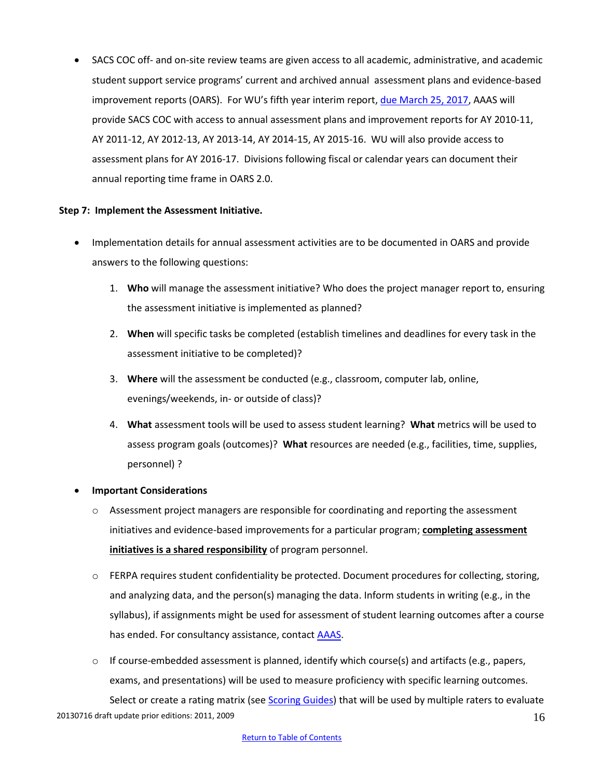SACS COC off- and on-site review teams are given access to all academic, administrative, and academic student support service programs' current and archived annual assessment plans and evidence-based improvement reports (OARS). For WU's fifth year interim report, due [March 25, 2017,](http://www.winthrop.edu/sacs/default.aspx?id=8240) AAAS will provide SACS COC with access to annual assessment plans and improvement reports for AY 2010-11, AY 2011-12, AY 2012-13, AY 2013-14, AY 2014-15, AY 2015-16. WU will also provide access to assessment plans for AY 2016-17. Divisions following fiscal or calendar years can document their annual reporting time frame in OARS 2.0.

# <span id="page-15-0"></span>**Step 7: Implement the Assessment Initiative.**

- Implementation details for annual assessment activities are to be documented in OARS and provide answers to the following questions:
	- 1. **Who** will manage the assessment initiative? Who does the project manager report to, ensuring the assessment initiative is implemented as planned?
	- 2. **When** will specific tasks be completed (establish timelines and deadlines for every task in the assessment initiative to be completed)?
	- 3. **Where** will the assessment be conducted (e.g., classroom, computer lab, online, evenings/weekends, in- or outside of class)?
	- 4. **What** assessment tools will be used to assess student learning? **What** metrics will be used to assess program goals (outcomes)? **What** resources are needed (e.g., facilities, time, supplies, personnel) ?

# **Important Considerations**

- $\circ$  Assessment project managers are responsible for coordinating and reporting the assessment initiatives and evidence-based improvements for a particular program; **completing assessment initiatives is a shared responsibility** of program personnel.
- $\circ$  FERPA requires student confidentiality be protected. Document procedures for collecting, storing, and analyzing data, and the person(s) managing the data. Inform students in writing (e.g., in the syllabus), if assignments might be used for assessment of student learning outcomes after a course has ended. For consultancy assistance, contac[t AAAS.](http://www.winthrop.edu/accountability/default.aspx?id=7894)
- $\circ$  If course-embedded assessment is planned, identify which course(s) and artifacts (e.g., papers, exams, and presentations) will be used to measure proficiency with specific learning outcomes.

20130716 draft update prior editions: 2011, 2009 16 Select or create a rating matrix (see [Scoring Guides\)](#page-16-0) that will be used by multiple raters to evaluate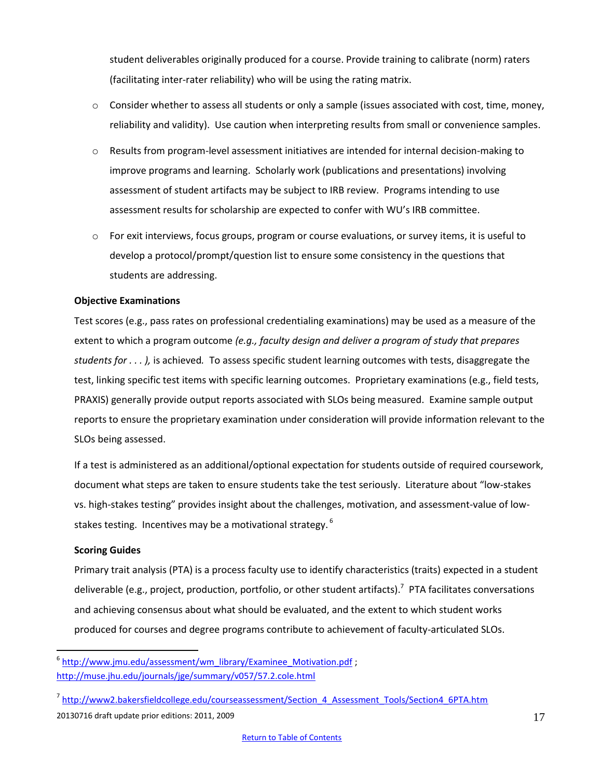student deliverables originally produced for a course. Provide training to calibrate (norm) raters (facilitating inter-rater reliability) who will be using the rating matrix.

- $\circ$  Consider whether to assess all students or only a sample (issues associated with cost, time, money, reliability and validity). Use caution when interpreting results from small or convenience samples.
- o Results from program-level assessment initiatives are intended for internal decision-making to improve programs and learning. Scholarly work (publications and presentations) involving assessment of student artifacts may be subject to IRB review. Programs intending to use assessment results for scholarship are expected to confer with WU's IRB committee.
- $\circ$  For exit interviews, focus groups, program or course evaluations, or survey items, it is useful to develop a protocol/prompt/question list to ensure some consistency in the questions that students are addressing.

# **Objective Examinations**

Test scores (e.g., pass rates on professional credentialing examinations) may be used as a measure of the extent to which a program outcome *(e.g., faculty design and deliver a program of study that prepares students for . . . ),* is achieved*.* To assess specific student learning outcomes with tests, disaggregate the test, linking specific test items with specific learning outcomes. Proprietary examinations (e.g., field tests, PRAXIS) generally provide output reports associated with SLOs being measured. Examine sample output reports to ensure the proprietary examination under consideration will provide information relevant to the SLOs being assessed.

If a test is administered as an additional/optional expectation for students outside of required coursework, document what steps are taken to ensure students take the test seriously. Literature about "low-stakes vs. high-stakes testing" provides insight about the challenges, motivation, and assessment-value of lowstakes testing. Incentives may be a motivational strategy.<sup>6</sup>

# <span id="page-16-0"></span>**Scoring Guides**

 $\overline{a}$ 

Primary trait analysis (PTA) is a process faculty use to identify characteristics (traits) expected in a student deliverable (e.g., project, production, portfolio, or other student artifacts).<sup>7</sup> PTA facilitates conversations and achieving consensus about what should be evaluated, and the extent to which student works produced for courses and degree programs contribute to achievement of faculty-articulated SLOs.

<sup>&</sup>lt;sup>6</sup> [http://www.jmu.edu/assessment/wm\\_library/Examinee\\_Motivation.pdf](http://www.jmu.edu/assessment/wm_library/Examinee_Motivation.pdf); <http://muse.jhu.edu/journals/jge/summary/v057/57.2.cole.html>

<sup>20130716</sup> draft update prior editions: 2011, 2009 <sup>7</sup> [http://www2.bakersfieldcollege.edu/courseassessment/Section\\_4\\_Assessment\\_Tools/Section4\\_6PTA.htm](http://www2.bakersfieldcollege.edu/courseassessment/Section_4_Assessment_Tools/Section4_6PTA.htm)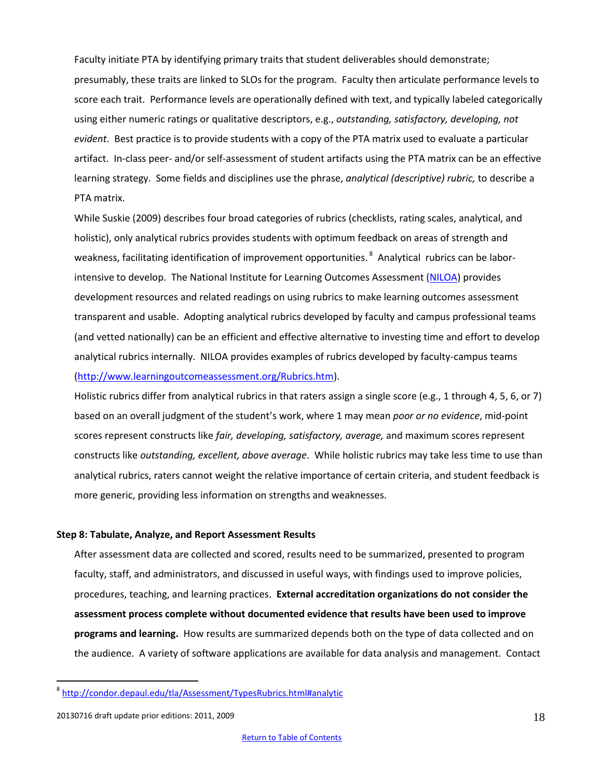Faculty initiate PTA by identifying primary traits that student deliverables should demonstrate; presumably, these traits are linked to SLOs for the program. Faculty then articulate performance levels to score each trait. Performance levels are operationally defined with text, and typically labeled categorically using either numeric ratings or qualitative descriptors, e.g., *outstanding, satisfactory, developing, not evident*. Best practice is to provide students with a copy of the PTA matrix used to evaluate a particular artifact. In-class peer- and/or self-assessment of student artifacts using the PTA matrix can be an effective learning strategy. Some fields and disciplines use the phrase, *analytical (descriptive) rubric,* to describe a PTA matrix.

While Suskie (2009) describes four broad categories of rubrics (checklists, rating scales, analytical, and holistic), only analytical rubrics provides students with optimum feedback on areas of strength and weakness, facilitating identification of improvement opportunities. <sup>8</sup> Analytical rubrics can be laborintensive to develop. The National Institute for Learning Outcomes Assessment [\(NILOA\)](http://www.learningoutcomeassessment.org/Rubrics.htm) provides development resources and related readings on using rubrics to make learning outcomes assessment transparent and usable. Adopting analytical rubrics developed by faculty and campus professional teams (and vetted nationally) can be an efficient and effective alternative to investing time and effort to develop analytical rubrics internally. NILOA provides examples of rubrics developed by faculty-campus teams [\(http://www.learningoutcomeassessment.org/Rubrics.htm\)](http://www.learningoutcomeassessment.org/Rubrics.htm).

Holistic rubrics differ from analytical rubrics in that raters assign a single score (e.g., 1 through 4, 5, 6, or 7) based on an overall judgment of the student's work, where 1 may mean *poor or no evidence*, mid-point scores represent constructs like *fair, developing, satisfactory, average,* and maximum scores represent constructs like *outstanding, excellent, above average*. While holistic rubrics may take less time to use than analytical rubrics, raters cannot weight the relative importance of certain criteria, and student feedback is more generic, providing less information on strengths and weaknesses.

#### <span id="page-17-0"></span>**Step 8: Tabulate, Analyze, and Report Assessment Results**

After assessment data are collected and scored, results need to be summarized, presented to program faculty, staff, and administrators, and discussed in useful ways, with findings used to improve policies, procedures, teaching, and learning practices. **External accreditation organizations do not consider the assessment process complete without documented evidence that results have been used to improve programs and learning.** How results are summarized depends both on the type of data collected and on the audience. A variety of software applications are available for data analysis and management. Contact

 $\overline{a}$ 

<sup>8</sup> <http://condor.depaul.edu/tla/Assessment/TypesRubrics.html#analytic>

<sup>20130716</sup> draft update prior editions: 2011, 2009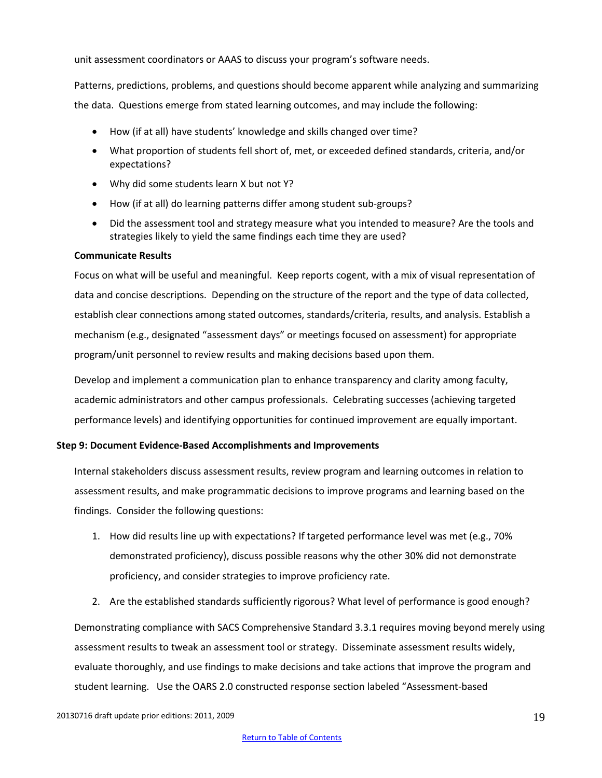unit assessment coordinators or AAAS to discuss your program's software needs.

Patterns, predictions, problems, and questions should become apparent while analyzing and summarizing the data. Questions emerge from stated learning outcomes, and may include the following:

- How (if at all) have students' knowledge and skills changed over time?
- What proportion of students fell short of, met, or exceeded defined standards, criteria, and/or expectations?
- Why did some students learn X but not Y?
- How (if at all) do learning patterns differ among student sub-groups?
- Did the assessment tool and strategy measure what you intended to measure? Are the tools and strategies likely to yield the same findings each time they are used?

# **Communicate Results**

Focus on what will be useful and meaningful. Keep reports cogent, with a mix of visual representation of data and concise descriptions. Depending on the structure of the report and the type of data collected, establish clear connections among stated outcomes, standards/criteria, results, and analysis. Establish a mechanism (e.g., designated "assessment days" or meetings focused on assessment) for appropriate program/unit personnel to review results and making decisions based upon them.

Develop and implement a communication plan to enhance transparency and clarity among faculty, academic administrators and other campus professionals. Celebrating successes (achieving targeted performance levels) and identifying opportunities for continued improvement are equally important.

# <span id="page-18-0"></span>**Step 9: Document Evidence-Based Accomplishments and Improvements**

Internal stakeholders discuss assessment results, review program and learning outcomes in relation to assessment results, and make programmatic decisions to improve programs and learning based on the findings. Consider the following questions:

- 1. How did results line up with expectations? If targeted performance level was met (e.g., 70% demonstrated proficiency), discuss possible reasons why the other 30% did not demonstrate proficiency, and consider strategies to improve proficiency rate.
- 2. Are the established standards sufficiently rigorous? What level of performance is good enough?

Demonstrating compliance with SACS Comprehensive Standard 3.3.1 requires moving beyond merely using assessment results to tweak an assessment tool or strategy. Disseminate assessment results widely, evaluate thoroughly, and use findings to make decisions and take actions that improve the program and student learning. Use the OARS 2.0 constructed response section labeled "Assessment-based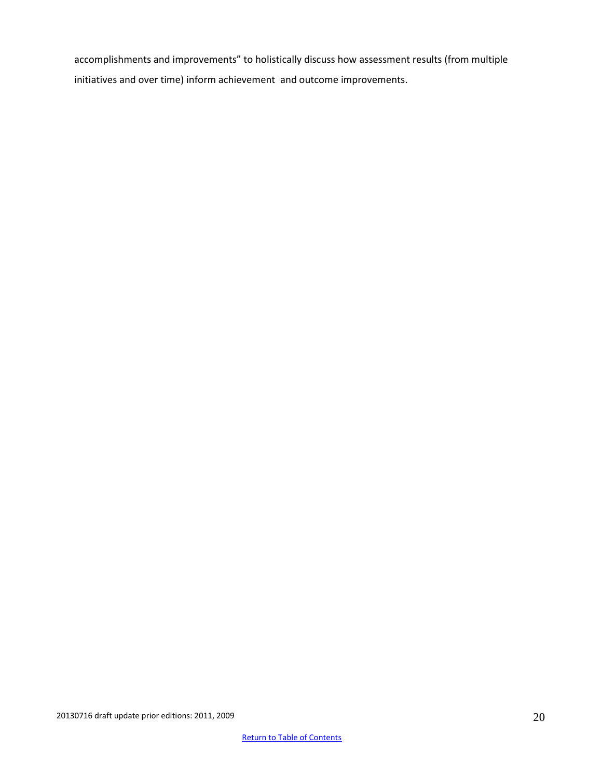accomplishments and improvements" to holistically discuss how assessment results (from multiple initiatives and over time) inform achievement and outcome improvements.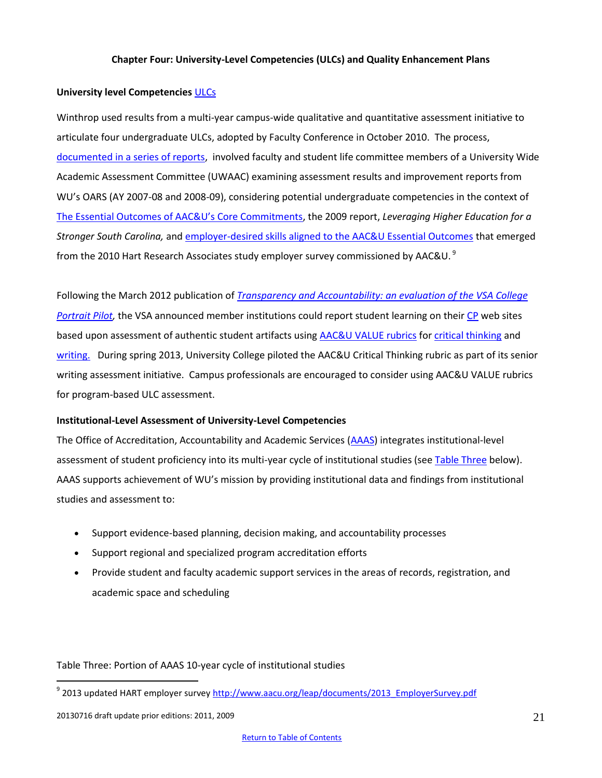# **Chapter Four: University-Level Competencies (ULCs) and Quality Enhancement Plans**

#### <span id="page-20-0"></span>**University level Competencies** [ULCs](http://www.winthrop.edu/academic-affairs/secondary.aspx?id=15731)

Winthrop used results from a multi-year campus-wide qualitative and quantitative assessment initiative to articulate four undergraduate ULCs, adopted by Faculty Conference in October 2010. The process, [documented in a series of reports,](http://www2.winthrop.edu/aaas/uwaac/committee_reports.aspx) involved faculty and student life committee members of a University Wide Academic Assessment Committee (UWAAC) examining assessment results and improvement reports from WU's OARS (AY 2007-08 and 2008-09), considering potential undergraduate competencies in the context of [The Essential Outcomes of AAC&](http://www.aacu.org/core_commitments/dimensions.cfm)U's Core Commitments, the 2009 report, *Leveraging Higher Education for a Stronger South Carolina,* and [employer-desired skills aligned to the AAC&U Essential Outcomes](http://www.aacu.org/leap/documents/MoreEmphasis_2010.pdf) that emerged from the 2010 Hart Research Associates study employer survey commissioned by AAC&U.  $^9$ 

Following the March 2012 publication of *[Transparency and Accountability: an evaluation of the VSA College](http://www.learningoutcomeassessment.org/documents/VSA_000.pdf)  [Portrait Pilot,](http://www.learningoutcomeassessment.org/documents/VSA_000.pdf)* the VSA announced member institutions could report student learning on their [CP](http://www.collegeportraits.org/SC/WU/learning_outcomes) web sites based upon assessment of authentic student artifacts using [AAC&U VALUE rubrics](http://www.aacu.org/value/rubrics/index_p.cfm?CFID=43374409&CFTOKEN=56960482) for [critical thinking](http://www.aacu.org/value/rubrics/pdf/criticalthinking.pdf) and [writing.](http://www.aacu.org/value/rubrics/pdf/writtencommunication.pdf) During spring 2013, University College piloted the AAC&U Critical Thinking rubric as part of its senior writing assessment initiative. Campus professionals are encouraged to consider using AAC&U VALUE rubrics for program-based ULC assessment.

#### **Institutional-Level Assessment of University-Level Competencies**

The Office of Accreditation, Accountability and Academic Services [\(AAAS\)](http://www.winthrop.edu/accountability/) integrates institutional-level assessment of student proficiency into its multi-year cycle of institutional studies (se[e Table](#page-20-1) Three below). AAAS supports achievement of WU's mission by providing institutional data and findings from institutional studies and assessment to:

- Support evidence-based planning, decision making, and accountability processes
- Support regional and specialized program accreditation efforts
- Provide student and faculty academic support services in the areas of records, registration, and academic space and scheduling

<span id="page-20-1"></span>Table Three: Portion of AAAS 10-year cycle of institutional studies

 $\overline{a}$ 

<sup>&</sup>lt;sup>9</sup> 2013 updated HART employer survey <u>http://www.aacu.org/leap/documents/2013\_EmployerSurvey.pdf</u>

<sup>20130716</sup> draft update prior editions: 2011, 2009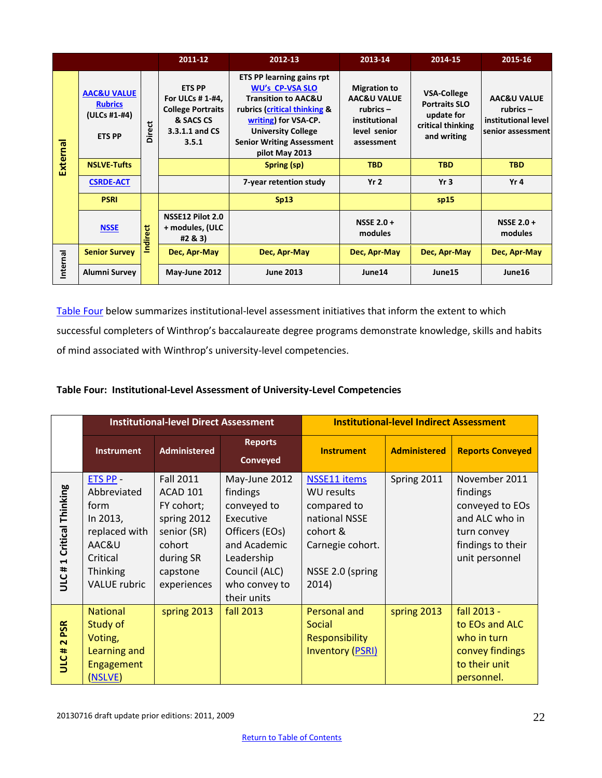|          |                                                                           |               | 2011-12                                                                                               | 2012-13                                                                                                                                                                                                                                 | 2013-14                                                                                          | 2014-15                                                                                      | 2015-16                                                                           |
|----------|---------------------------------------------------------------------------|---------------|-------------------------------------------------------------------------------------------------------|-----------------------------------------------------------------------------------------------------------------------------------------------------------------------------------------------------------------------------------------|--------------------------------------------------------------------------------------------------|----------------------------------------------------------------------------------------------|-----------------------------------------------------------------------------------|
| External | <b>AAC&amp;U VALUE</b><br><b>Rubrics</b><br>(ULCs #1-#4)<br><b>ETS PP</b> | <b>Direct</b> | <b>ETS PP</b><br>For ULCs # 1-#4,<br><b>College Portraits</b><br>& SACS CS<br>3.3.1.1 and CS<br>3.5.1 | <b>ETS PP learning gains rpt</b><br><b>WU's CP-VSA SLO</b><br><b>Transition to AAC&amp;U</b><br>rubrics (critical thinking &<br>writing) for VSA-CP.<br><b>University College</b><br><b>Senior Writing Assessment</b><br>pilot May 2013 | <b>Migration to</b><br>AAC&U VALUE<br>rubrics $-$<br>institutional<br>level senior<br>assessment | <b>VSA-College</b><br><b>Portraits SLO</b><br>update for<br>critical thinking<br>and writing | <b>AAC&amp;U VALUE</b><br>rubrics $-$<br>institutional level<br>senior assessment |
|          | <b>NSLVE-Tufts</b>                                                        |               |                                                                                                       | Spring (sp)                                                                                                                                                                                                                             | <b>TBD</b>                                                                                       | <b>TBD</b>                                                                                   | <b>TBD</b>                                                                        |
|          | <b>CSRDE-ACT</b>                                                          |               |                                                                                                       | 7-year retention study                                                                                                                                                                                                                  | Yr <sub>2</sub>                                                                                  | Yr <sub>3</sub>                                                                              | Yr 4                                                                              |
|          | <b>PSRI</b>                                                               |               |                                                                                                       | Sp13                                                                                                                                                                                                                                    |                                                                                                  | sp15                                                                                         |                                                                                   |
|          | <b>NSSE</b>                                                               | Indirect      | NSSE12 Pilot 2.0<br>+ modules, (ULC<br>#2 & 3)                                                        |                                                                                                                                                                                                                                         | NSSE $2.0 +$<br>modules                                                                          |                                                                                              | NSSE $2.0 +$<br>modules                                                           |
| Internal | <b>Senior Survey</b>                                                      |               | Dec, Apr-May                                                                                          | Dec, Apr-May                                                                                                                                                                                                                            | Dec, Apr-May                                                                                     | Dec, Apr-May                                                                                 | Dec, Apr-May                                                                      |
|          | Alumni Survey                                                             |               | May-June 2012                                                                                         | <b>June 2013</b>                                                                                                                                                                                                                        | June14                                                                                           | June15                                                                                       | June16                                                                            |

[Table](#page-21-0) Four below summarizes institutional-level assessment initiatives that inform the extent to which successful completers of Winthrop's baccalaureate degree programs demonstrate knowledge, skills and habits of mind associated with Winthrop's university-level competencies.

# <span id="page-21-0"></span>**Table Four: Institutional-Level Assessment of University-Level Competencies**

|                                               |                                                                                                                      | <b>Institutional-level Direct Assessment</b>                                                                                      |                                                                                                                                                        | <b>Institutional-level Indirect Assessment</b>                                                                                        |                     |                                                                                                                      |  |
|-----------------------------------------------|----------------------------------------------------------------------------------------------------------------------|-----------------------------------------------------------------------------------------------------------------------------------|--------------------------------------------------------------------------------------------------------------------------------------------------------|---------------------------------------------------------------------------------------------------------------------------------------|---------------------|----------------------------------------------------------------------------------------------------------------------|--|
|                                               | <b>Instrument</b>                                                                                                    | <b>Administered</b>                                                                                                               | <b>Reports</b><br>Conveyed                                                                                                                             | <b>Instrument</b>                                                                                                                     | <b>Administered</b> | <b>Reports Conveyed</b>                                                                                              |  |
| 1 Critical Thinking<br>ULC#                   | ETS PP -<br>Abbreviated<br>form<br>In 2013,<br>replaced with<br>AAC&U<br>Critical<br>Thinking<br><b>VALUE</b> rubric | <b>Fall 2011</b><br><b>ACAD 101</b><br>FY cohort;<br>spring 2012<br>senior (SR)<br>cohort<br>during SR<br>capstone<br>experiences | May-June 2012<br>findings<br>conveyed to<br>Executive<br>Officers (EOs)<br>and Academic<br>Leadership<br>Council (ALC)<br>who convey to<br>their units | <b>NSSE11</b> items<br><b>WU results</b><br>compared to<br>national NSSE<br>cohort &<br>Carnegie cohort.<br>NSSE 2.0 (spring<br>2014) | Spring 2011         | November 2011<br>findings<br>conveyed to EOs<br>and ALC who in<br>turn convey<br>findings to their<br>unit personnel |  |
| <b>PSR</b><br>$\overline{\mathbf{N}}$<br>ULC# | <b>National</b><br>Study of<br>Voting,<br>Learning and<br><b>Engagement</b><br>(NSLVE)                               | spring 2013                                                                                                                       | <b>fall 2013</b>                                                                                                                                       | Personal and<br>Social<br><b>Responsibility</b><br><b>Inventory (PSRI)</b>                                                            | spring 2013         | fall 2013 -<br>to EOs and ALC<br>who in turn<br>convey findings<br>to their unit<br>personnel.                       |  |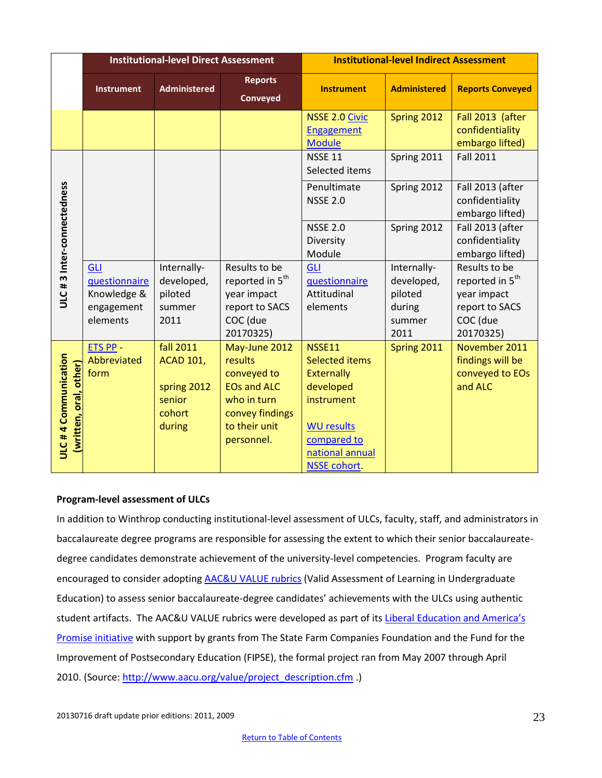|                                               |                                                                      | <b>Institutional-level Direct Assessment</b>                                      |                                                                                                                                | <b>Institutional-level Indirect Assessment</b>                                                                                                                |                                                                  |                                                                                                        |  |
|-----------------------------------------------|----------------------------------------------------------------------|-----------------------------------------------------------------------------------|--------------------------------------------------------------------------------------------------------------------------------|---------------------------------------------------------------------------------------------------------------------------------------------------------------|------------------------------------------------------------------|--------------------------------------------------------------------------------------------------------|--|
|                                               | <b>Instrument</b>                                                    | <b>Administered</b>                                                               | <b>Reports</b><br><b>Conveyed</b>                                                                                              | <b>Instrument</b>                                                                                                                                             | <b>Administered</b>                                              | <b>Reports Conveyed</b>                                                                                |  |
|                                               |                                                                      |                                                                                   |                                                                                                                                | <b>NSSE 2.0 Civic</b><br><b>Engagement</b><br><b>Module</b>                                                                                                   | Spring 2012                                                      | Fall 2013 (after<br>confidentiality<br>embargo lifted)                                                 |  |
| ULC #3 Inter-connectedness                    |                                                                      |                                                                                   |                                                                                                                                | <b>NSSE 11</b><br>Selected items                                                                                                                              | Spring 2011                                                      | <b>Fall 2011</b>                                                                                       |  |
|                                               |                                                                      |                                                                                   |                                                                                                                                | Penultimate<br><b>NSSE 2.0</b>                                                                                                                                | Spring 2012                                                      | Fall 2013 (after<br>confidentiality<br>embargo lifted)                                                 |  |
|                                               |                                                                      |                                                                                   |                                                                                                                                | <b>NSSE 2.0</b><br>Diversity<br>Module                                                                                                                        | Spring 2012                                                      | Fall 2013 (after<br>confidentiality<br>embargo lifted)                                                 |  |
|                                               | <b>GLI</b><br>questionnaire<br>Knowledge &<br>engagement<br>elements | Internally-<br>developed,<br>piloted<br>summer<br>2011                            | Results to be<br>reported in 5 <sup>th</sup><br>year impact<br>report to SACS<br>COC (due<br>20170325)                         | <b>GLI</b><br>questionnaire<br>Attitudinal<br>elements                                                                                                        | Internally-<br>developed,<br>piloted<br>during<br>summer<br>2011 | Results to be<br>reported in 5 <sup>th</sup><br>year impact<br>report to SACS<br>COC (due<br>20170325) |  |
| ULC#4 Communication<br>(written, oral, other) | ETS PP -<br>Abbreviated<br>form                                      | <b>fall 2011</b><br><b>ACAD 101,</b><br>spring 2012<br>senior<br>cohort<br>during | May-June 2012<br>results<br>conveyed to<br><b>EOs and ALC</b><br>who in turn<br>convey findings<br>to their unit<br>personnel. | NSSE11<br><b>Selected items</b><br><b>Externally</b><br>developed<br>instrument<br><b>WU results</b><br>compared to<br>national annual<br><b>NSSE cohort.</b> | Spring 2011                                                      | November 2011<br>findings will be<br>conveyed to EOs<br>and ALC                                        |  |

# **Program-level assessment of ULCs**

In addition to Winthrop conducting institutional-level assessment of ULCs, faculty, staff, and administrators in baccalaureate degree programs are responsible for assessing the extent to which their senior baccalaureatedegree candidates demonstrate achievement of the university-level competencies. Program faculty are encouraged to consider adopting [AAC&U VALUE rubrics](http://www.aacu.org/value/abouttherubrics.cfm) (Valid Assessment of Learning in Undergraduate Education) to assess senior baccalaureate-degree candidates' achievements with the ULCs using authentic student artifacts. The AAC&U VALUE rubrics were developed as part of its Liberal Education and America's [Promise initiative](http://www.aacu.org/leap/) with support by grants from The State Farm Companies Foundation and the Fund for the Improvement of Postsecondary Education (FIPSE), the formal project ran from May 2007 through April 2010. (Source[: http://www.aacu.org/value/project\\_description.cfm](http://www.aacu.org/value/project_description.cfm) .)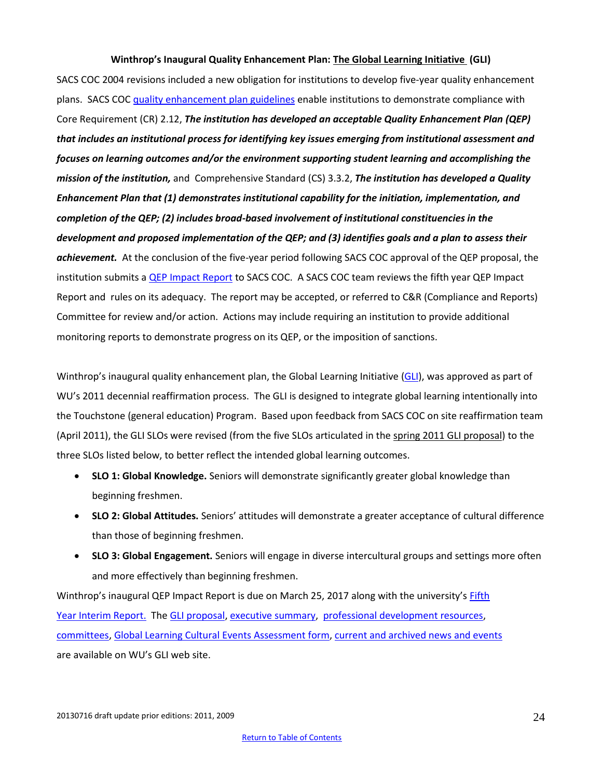#### **Winthrop's Inaugural Quality Enhancement Plan: [The Global Learning Initiative \(](http://www2.winthrop.edu/gli/wuPublicGli.pdf)GLI)**

SACS COC 2004 revisions included a new obligation for institutions to develop five-year quality enhancement plans. SACS COC [quality enhancement plan guidelines](http://www.sacscoc.org/pdf/Quality%20Enhancement%20Plan%20Guidelines.pdf) enable institutions to demonstrate compliance with Core Requirement (CR) 2.12, *The institution has developed an acceptable Quality Enhancement Plan (QEP) that includes an institutional process for identifying key issues emerging from institutional assessment and focuses on learning outcomes and/or the environment supporting student learning and accomplishing the mission of the institution,* and Comprehensive Standard (CS) 3.3.2, *The institution has developed a Quality Enhancement Plan that (1) demonstrates institutional capability for the initiation, implementation, and completion of the QEP; (2) includes broad-based involvement of institutional constituencies in the development and proposed implementation of the QEP; and (3) identifies goals and a plan to assess their achievement.* At the conclusion of the five-year period following SACS COC approval of the QEP proposal, the institution submits a **QEP Impact Report** to SACS COC. A SACS COC team reviews the fifth year QEP Impact Report and rules on its adequacy. The report may be accepted, or referred to C&R (Compliance and Reports) Committee for review and/or action. Actions may include requiring an institution to provide additional monitoring reports to demonstrate progress on its QEP, or the imposition of sanctions.

Winthrop's inaugural quality enhancement plan, the Global Learning Initiative [\(GLI\)](http://www2.winthrop.edu/gli/), was approved as part of WU's 2011 decennial reaffirmation process. The GLI is designed to integrate global learning intentionally into the Touchstone (general education) Program. Based upon feedback from SACS COC on site reaffirmation team (April 2011), the GLI SLOs were revised (from the five SLOs articulated in the [spring 2011 GLI proposal\)](http://www2.winthrop.edu/gli/wuPublicGli.pdf) to the three SLOs listed below, to better reflect the intended global learning outcomes.

- **SLO 1: Global Knowledge.** Seniors will demonstrate significantly greater global knowledge than beginning freshmen.
- **SLO 2: Global Attitudes.** Seniors' attitudes will demonstrate a greater acceptance of cultural difference than those of beginning freshmen.
- **SLO 3: Global Engagement.** Seniors will engage in diverse intercultural groups and settings more often and more effectively than beginning freshmen.

Winthrop's inaugural QEP Impact Report is due on March 25, 2017 along with the university's [Fifth](http://www.sacscoc.org/fifth%20year/Summary.The%20Fifth%20Year%20Interim%20Report.pdf)  [Year Interim Report.](http://www.sacscoc.org/fifth%20year/Summary.The%20Fifth%20Year%20Interim%20Report.pdf) The [GLI proposal,](http://www2.winthrop.edu/gli/wuPublicGli.pdf) [executive summary,](http://www2.winthrop.edu/gli/execSummary.aspx) [professional development resources,](http://www2.winthrop.edu/gli/Prof_Development.aspx?ekmensel=aa210ba6_458_460_5848_2) [committees,](http://www2.winthrop.edu/gli/committee_2.aspx) [Global Learning Cultural Events Assessment form,](http://www2.winthrop.edu/gli/Culturaleventsassessmentfinal.pdf) [current and archived news and events](http://www2.winthrop.edu/gli/articles.aspx) are available on WU's GLI web site.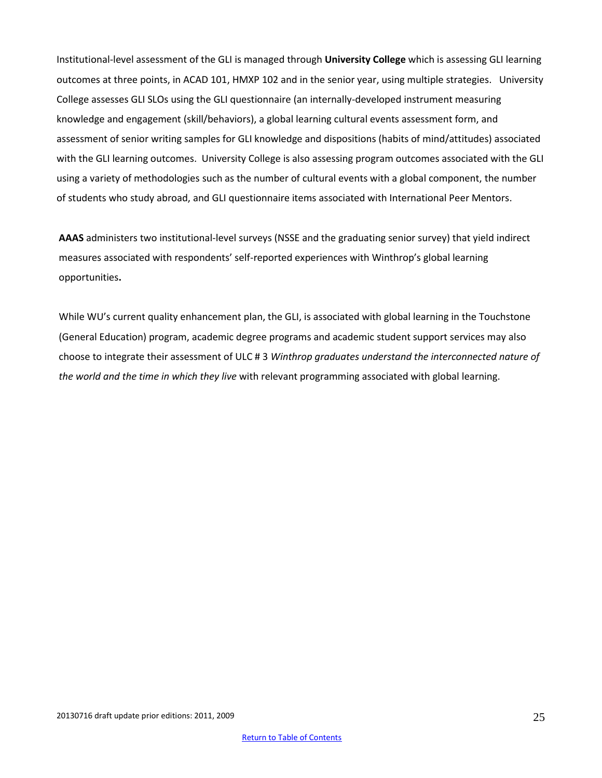Institutional-level assessment of the GLI is managed through **University College** which is assessing GLI learning outcomes at three points, in ACAD 101, HMXP 102 and in the senior year, using multiple strategies. University College assesses GLI SLOs using the GLI questionnaire (an internally-developed instrument measuring knowledge and engagement (skill/behaviors), a global learning cultural events assessment form, and assessment of senior writing samples for GLI knowledge and dispositions (habits of mind/attitudes) associated with the GLI learning outcomes. University College is also assessing program outcomes associated with the GLI using a variety of methodologies such as the number of cultural events with a global component, the number of students who study abroad, and GLI questionnaire items associated with International Peer Mentors.

**AAAS** administers two institutional-level surveys (NSSE and the graduating senior survey) that yield indirect measures associated with respondents' self-reported experiences with Winthrop's global learning opportunities**.**

While WU's current quality enhancement plan, the GLI, is associated with global learning in the Touchstone (General Education) program, academic degree programs and academic student support services may also choose to integrate their assessment of ULC # 3 *Winthrop graduates understand the interconnected nature of the world and the time in which they live* with relevant programming associated with global learning.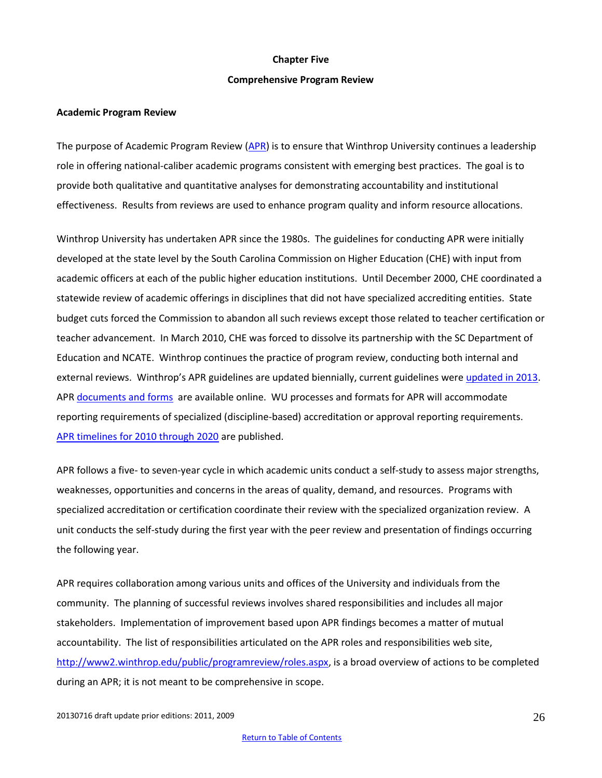#### **Chapter Five**

#### **Comprehensive Program Review**

#### <span id="page-25-0"></span>**Academic Program Review**

The purpose of Academic Program Review [\(APR\)](http://www2.winthrop.edu/public/programreview/) is to ensure that Winthrop University continues a leadership role in offering national-caliber academic programs consistent with emerging best practices. The goal is to provide both qualitative and quantitative analyses for demonstrating accountability and institutional effectiveness. Results from reviews are used to enhance program quality and inform resource allocations.

Winthrop University has undertaken APR since the 1980s. The guidelines for conducting APR were initially developed at the state level by the South Carolina Commission on Higher Education (CHE) with input from academic officers at each of the public higher education institutions. Until December 2000, CHE coordinated a statewide review of academic offerings in disciplines that did not have specialized accrediting entities. State budget cuts forced the Commission to abandon all such reviews except those related to teacher certification or teacher advancement. In March 2010, CHE was forced to dissolve its partnership with the SC Department of Education and NCATE. Winthrop continues the practice of program review, conducting both internal and external reviews. Winthrop's APR guidelines are updated biennially, current guidelines were [updated in 2013.](http://www2.winthrop.edu/public/programreview/documents/AcademicProgramReviewGuidelines_AAAS20130516.pdf) APR [documents and forms](http://www2.winthrop.edu/public/programreview/documents.aspx) are available online. WU processes and formats for APR will accommodate reporting requirements of specialized (discipline-based) accreditation or approval reporting requirements. [APR timelines for 2010 through 2020](http://www2.winthrop.edu/public/programreview/future.aspx?ekmensel=3e482c28_454_488_6876_1) are published.

APR follows a five- to seven-year cycle in which academic units conduct a self-study to assess major strengths, weaknesses, opportunities and concerns in the areas of quality, demand, and resources. Programs with specialized accreditation or certification coordinate their review with the specialized organization review. A unit conducts the self-study during the first year with the peer review and presentation of findings occurring the following year.

APR requires collaboration among various units and offices of the University and individuals from the community. The planning of successful reviews involves shared responsibilities and includes all major stakeholders. Implementation of improvement based upon APR findings becomes a matter of mutual accountability. The list of responsibilities articulated on the APR roles and responsibilities web site, [http://www2.winthrop.edu/public/programreview/roles.aspx,](http://www2.winthrop.edu/public/programreview/roles.aspx) is a broad overview of actions to be completed during an APR; it is not meant to be comprehensive in scope.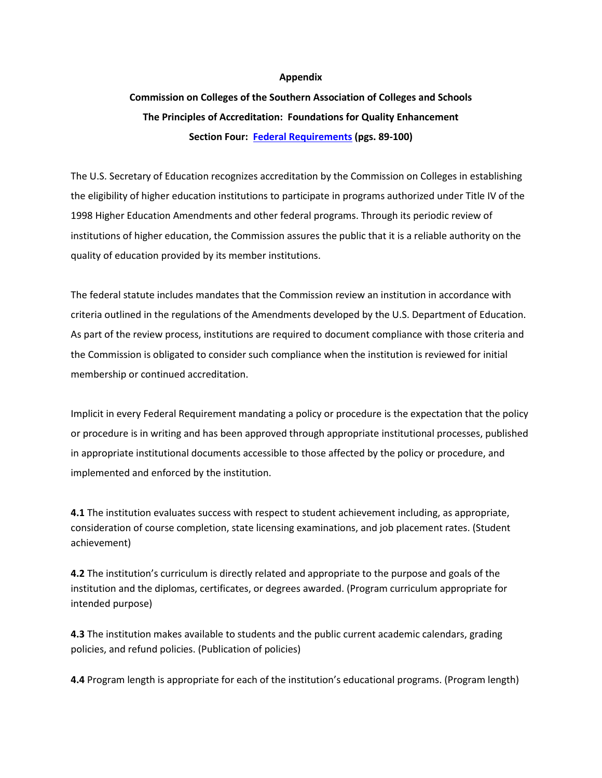#### **Appendix**

# <span id="page-26-0"></span>**Commission on Colleges of the Southern Association of Colleges and Schools The Principles of Accreditation: Foundations for Quality Enhancement Section Four: [Federal Requirements](http://www.sacscoc.org/pdf/Resource%20Manual.pdf) (pgs. 89-100)**

The U.S. Secretary of Education recognizes accreditation by the Commission on Colleges in establishing the eligibility of higher education institutions to participate in programs authorized under Title IV of the 1998 Higher Education Amendments and other federal programs. Through its periodic review of institutions of higher education, the Commission assures the public that it is a reliable authority on the quality of education provided by its member institutions.

The federal statute includes mandates that the Commission review an institution in accordance with criteria outlined in the regulations of the Amendments developed by the U.S. Department of Education. As part of the review process, institutions are required to document compliance with those criteria and the Commission is obligated to consider such compliance when the institution is reviewed for initial membership or continued accreditation.

Implicit in every Federal Requirement mandating a policy or procedure is the expectation that the policy or procedure is in writing and has been approved through appropriate institutional processes, published in appropriate institutional documents accessible to those affected by the policy or procedure, and implemented and enforced by the institution.

**4.1** The institution evaluates success with respect to student achievement including, as appropriate, consideration of course completion, state licensing examinations, and job placement rates. (Student achievement)

**4.2** The institution's curriculum is directly related and appropriate to the purpose and goals of the institution and the diplomas, certificates, or degrees awarded. (Program curriculum appropriate for intended purpose)

**4.3** The institution makes available to students and the public current academic calendars, grading policies, and refund policies. (Publication of policies)

**4.4** Program length is appropriate for each of the institution's educational programs. (Program length)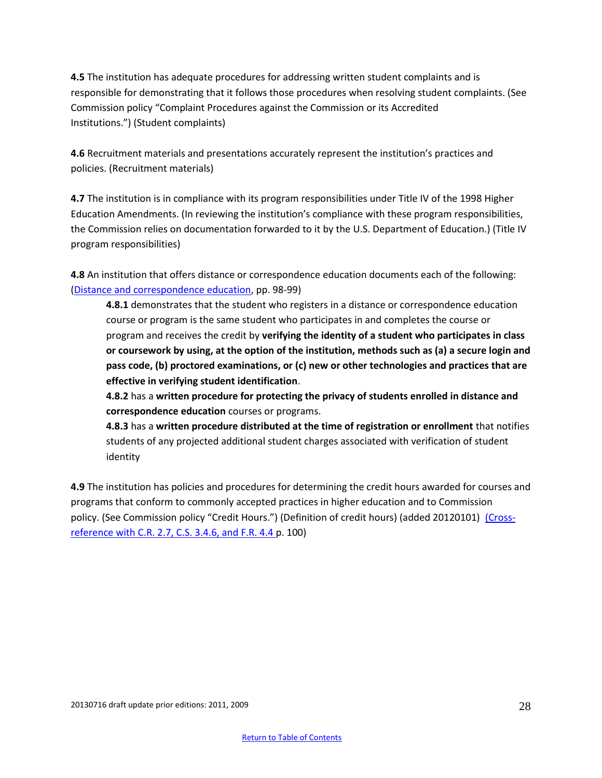**4.5** The institution has adequate procedures for addressing written student complaints and is responsible for demonstrating that it follows those procedures when resolving student complaints. (See Commission policy "Complaint Procedures against the Commission or its Accredited Institutions.") (Student complaints)

**4.6** Recruitment materials and presentations accurately represent the institution's practices and policies. (Recruitment materials)

**4.7** The institution is in compliance with its program responsibilities under Title IV of the 1998 Higher Education Amendments. (In reviewing the institution's compliance with these program responsibilities, the Commission relies on documentation forwarded to it by the U.S. Department of Education.) (Title IV program responsibilities)

**4.8** An institution that offers distance or correspondence education documents each of the following: [\(Distance and correspondence education,](http://www.sacscoc.org/pdf/Resource%20Manual.pdf) pp. 98-99)

**4.8.1** demonstrates that the student who registers in a distance or correspondence education course or program is the same student who participates in and completes the course or program and receives the credit by **verifying the identity of a student who participates in class or coursework by using, at the option of the institution, methods such as (a) a secure login and pass code, (b) proctored examinations, or (c) new or other technologies and practices that are effective in verifying student identification**.

**4.8.2** has a **written procedure for protecting the privacy of students enrolled in distance and correspondence education** courses or programs.

**4.8.3** has a **written procedure distributed at the time of registration or enrollment** that notifies students of any projected additional student charges associated with verification of student identity

**4.9** The institution has policies and procedures for determining the credit hours awarded for courses and programs that conform to commonly accepted practices in higher education and to Commission policy. (See Commission policy "Credit Hours.") (Definition of credit hours) (added 20120101) [\(Cross](http://www.sacscoc.org/pdf/Resource%20Manual.pdf)[reference with C.R. 2.7, C.S. 3.4.6, and F.R. 4.4 p](http://www.sacscoc.org/pdf/Resource%20Manual.pdf). 100)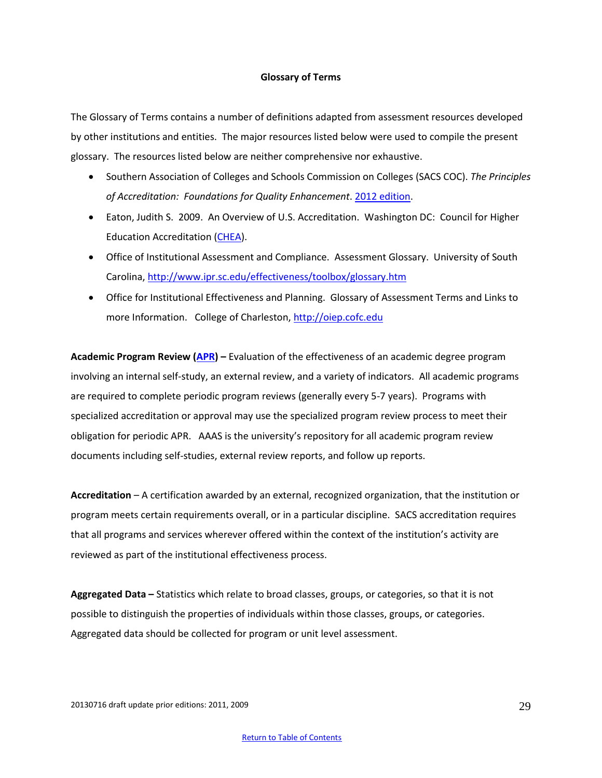#### **Glossary of Terms**

<span id="page-28-0"></span>The Glossary of Terms contains a number of definitions adapted from assessment resources developed by other institutions and entities. The major resources listed below were used to compile the present glossary. The resources listed below are neither comprehensive nor exhaustive.

- Southern Association of Colleges and Schools Commission on Colleges (SACS COC). *The Principles of Accreditation: Foundations for Quality Enhancement*. [2012 edition.](http://www.sacscoc.org/pdf/2012PrinciplesOfAcreditation.pdf)
- Eaton, Judith S. 2009. An Overview of U.S. Accreditation. Washington DC: Council for Higher Education Accreditation [\(CHEA\)](http://www.chea.org/).
- Office of Institutional Assessment and Compliance. Assessment Glossary. University of South Carolina,<http://www.ipr.sc.edu/effectiveness/toolbox/glossary.htm>
- Office for Institutional Effectiveness and Planning. Glossary of Assessment Terms and Links to more Information. College of Charleston[, http://oiep.cofc.edu](http://oiep.cofc.edu/)

**Academic Program Review [\(APR\)](http://www2.winthrop.edu/public/programreview/) –** Evaluation of the effectiveness of an academic degree program involving an internal self-study, an external review, and a variety of indicators. All academic programs are required to complete periodic program reviews (generally every 5-7 years). Programs with specialized accreditation or approval may use the specialized program review process to meet their obligation for periodic APR. AAAS is the university's repository for all academic program review documents including self-studies, external review reports, and follow up reports.

**Accreditation** – A certification awarded by an external, recognized organization, that the institution or program meets certain requirements overall, or in a particular discipline. SACS accreditation requires that all programs and services wherever offered within the context of the institution's activity are reviewed as part of the institutional effectiveness process.

**Aggregated Data –** Statistics which relate to broad classes, groups, or categories, so that it is not possible to distinguish the properties of individuals within those classes, groups, or categories. Aggregated data should be collected for program or unit level assessment.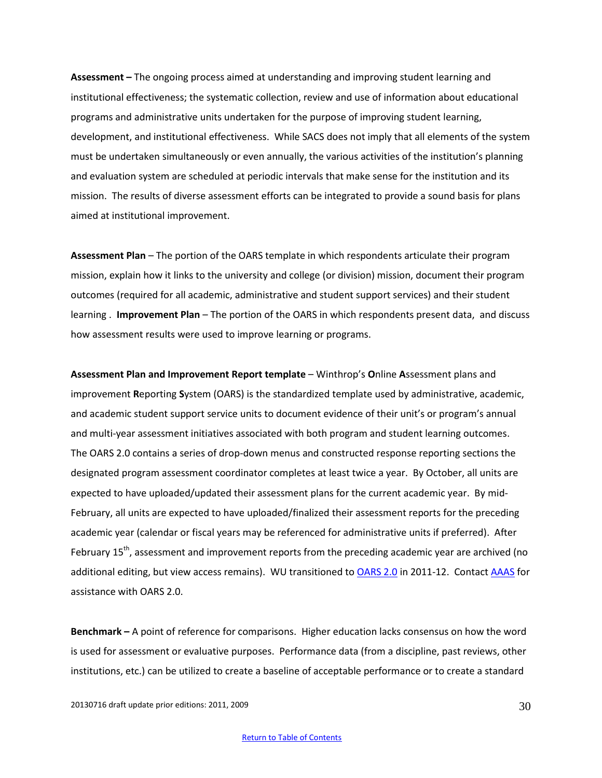**Assessment –** The ongoing process aimed at understanding and improving student learning and institutional effectiveness; the systematic collection, review and use of information about educational programs and administrative units undertaken for the purpose of improving student learning, development, and institutional effectiveness. While SACS does not imply that all elements of the system must be undertaken simultaneously or even annually, the various activities of the institution's planning and evaluation system are scheduled at periodic intervals that make sense for the institution and its mission. The results of diverse assessment efforts can be integrated to provide a sound basis for plans aimed at institutional improvement.

**Assessment Plan** – The portion of the OARS template in which respondents articulate their program mission, explain how it links to the university and college (or division) mission, document their program outcomes (required for all academic, administrative and student support services) and their student learning . **Improvement Plan** – The portion of the OARS in which respondents present data, and discuss how assessment results were used to improve learning or programs.

**Assessment Plan and Improvement Report template** – Winthrop's **O**nline **A**ssessment plans and improvement **R**eporting **S**ystem (OARS) is the standardized template used by administrative, academic, and academic student support service units to document evidence of their unit's or program's annual and multi-year assessment initiatives associated with both program and student learning outcomes. The OARS 2.0 contains a series of drop-down menus and constructed response reporting sections the designated program assessment coordinator completes at least twice a year. By October, all units are expected to have uploaded/updated their assessment plans for the current academic year. By mid-February, all units are expected to have uploaded/finalized their assessment reports for the preceding academic year (calendar or fiscal years may be referenced for administrative units if preferred). After February  $15<sup>th</sup>$ , assessment and improvement reports from the preceding academic year are archived (no additional editing, but view access remains). WU transitioned to [OARS 2.0](https://www2.winthrop.edu/login/betatest/login.aspx?ReturnUrl=%2flogin%2fbetatest%2fDefault.aspx&s=0) in 2011-12. Contact [AAAS](mailto:%20%09scottks@winthrop.edu) for assistance with OARS 2.0.

**Benchmark –** A point of reference for comparisons. Higher education lacks consensus on how the word is used for assessment or evaluative purposes. Performance data (from a discipline, past reviews, other institutions, etc.) can be utilized to create a baseline of acceptable performance or to create a standard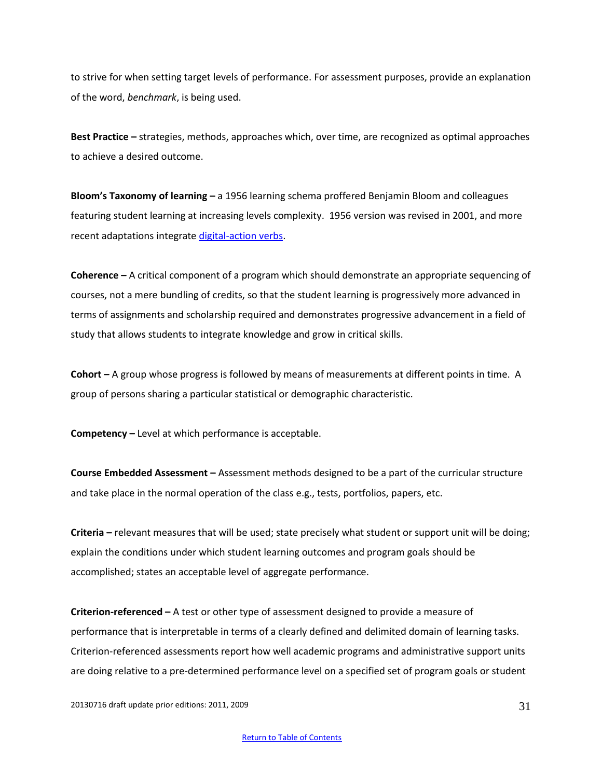to strive for when setting target levels of performance. For assessment purposes, provide an explanation of the word, *benchmark*, is being used.

**Best Practice –** strategies, methods, approaches which, over time, are recognized as optimal approaches to achieve a desired outcome.

**Bloom's Taxonomy of learning –** a 1956 learning schema proffered Benjamin Bloom and colleagues featuring student learning at increasing levels complexity. 1956 version was revised in 2001, and more recent adaptations integrate [digital-action verbs.](http://gpaeanews.wordpress.com/2011/09/30/bloom%E2%80%99s-taxonomy-goes-digital/)

**Coherence –** A critical component of a program which should demonstrate an appropriate sequencing of courses, not a mere bundling of credits, so that the student learning is progressively more advanced in terms of assignments and scholarship required and demonstrates progressive advancement in a field of study that allows students to integrate knowledge and grow in critical skills.

**Cohort –** A group whose progress is followed by means of measurements at different points in time. A group of persons sharing a particular statistical or demographic characteristic.

**Competency –** Level at which performance is acceptable.

**Course Embedded Assessment –** Assessment methods designed to be a part of the curricular structure and take place in the normal operation of the class e.g., tests, portfolios, papers, etc.

**Criteria –** relevant measures that will be used; state precisely what student or support unit will be doing; explain the conditions under which student learning outcomes and program goals should be accomplished; states an acceptable level of aggregate performance.

**Criterion-referenced –** A test or other type of assessment designed to provide a measure of performance that is interpretable in terms of a clearly defined and delimited domain of learning tasks. Criterion-referenced assessments report how well academic programs and administrative support units are doing relative to a pre-determined performance level on a specified set of program goals or student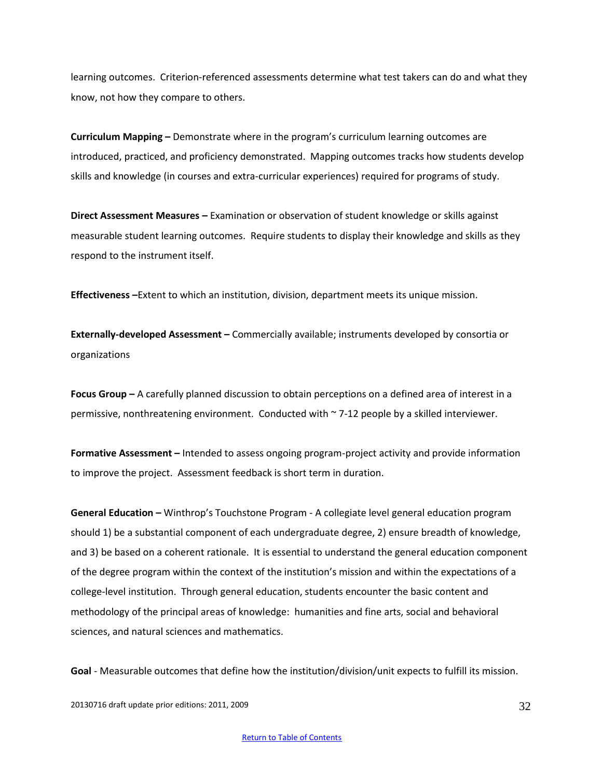learning outcomes. Criterion-referenced assessments determine what test takers can do and what they know, not how they compare to others.

**Curriculum Mapping –** Demonstrate where in the program's curriculum learning outcomes are introduced, practiced, and proficiency demonstrated. Mapping outcomes tracks how students develop skills and knowledge (in courses and extra-curricular experiences) required for programs of study.

**Direct Assessment Measures –** Examination or observation of student knowledge or skills against measurable student learning outcomes. Require students to display their knowledge and skills as they respond to the instrument itself.

**Effectiveness –**Extent to which an institution, division, department meets its unique mission.

**Externally-developed Assessment –** Commercially available; instruments developed by consortia or organizations

**Focus Group –** A carefully planned discussion to obtain perceptions on a defined area of interest in a permissive, nonthreatening environment. Conducted with ~ 7-12 people by a skilled interviewer.

**Formative Assessment –** Intended to assess ongoing program-project activity and provide information to improve the project. Assessment feedback is short term in duration.

**General Education –** Winthrop's Touchstone Program - A collegiate level general education program should 1) be a substantial component of each undergraduate degree, 2) ensure breadth of knowledge, and 3) be based on a coherent rationale. It is essential to understand the general education component of the degree program within the context of the institution's mission and within the expectations of a college-level institution. Through general education, students encounter the basic content and methodology of the principal areas of knowledge: humanities and fine arts, social and behavioral sciences, and natural sciences and mathematics.

**Goal** - Measurable outcomes that define how the institution/division/unit expects to fulfill its mission.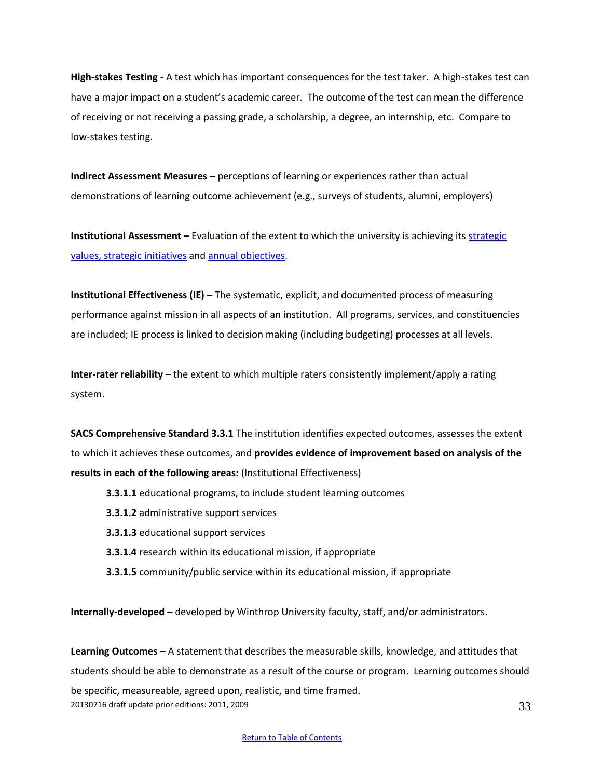**High-stakes Testing -** [A test](http://en.wikipedia.org/wiki/Test_%28student_assessment%29) which has important consequences for the test taker. A high-stakes test can have a major impact on a student's academic career. The outcome of the test can mean the difference of receiving or not receiving a passing grade, a scholarship, a degree, an internship, etc. Compare to low-stakes testing.

**Indirect Assessment Measures –** perceptions of learning or experiences rather than actual demonstrations of learning outcome achievement (e.g., surveys of students, alumni, employers)

**Institutional Assessment –** Evaluation of the extent to which the university is achieving its **strategic** [values, strategic initiatives](http://www.winthrop.edu/uploadedFiles/president/2010-11_VoD_color.pdf) an[d annual objectives.](http://www.winthrop.edu/uploadedFiles/president/09-10VODupdates_June2010.pdf)

**Institutional Effectiveness (IE) –** The systematic, explicit, and documented process of measuring performance against mission in all aspects of an institution. All programs, services, and constituencies are included; IE process is linked to decision making (including budgeting) processes at all levels.

**Inter-rater reliability** – the extent to which multiple raters consistently implement/apply a rating system.

**SACS Comprehensive Standard 3.3.1** The institution identifies expected outcomes, assesses the extent to which it achieves these outcomes, and **provides evidence of improvement based on analysis of the results in each of the following areas:** (Institutional Effectiveness)

- **3.3.1.1** educational programs, to include student learning outcomes
- **3.3.1.2** administrative support services
- **3.3.1.3** educational support services
- **3.3.1.4** research within its educational mission, if appropriate
- **3.3.1.5** community/public service within its educational mission, if appropriate

**Internally-developed –** developed by Winthrop University faculty, staff, and/or administrators.

20130716 draft update prior editions: 2011, 2009 33 **Learning Outcomes –** A statement that describes the measurable skills, knowledge, and attitudes that students should be able to demonstrate as a result of the course or program. Learning outcomes should be specific, measureable, agreed upon, realistic, and time framed.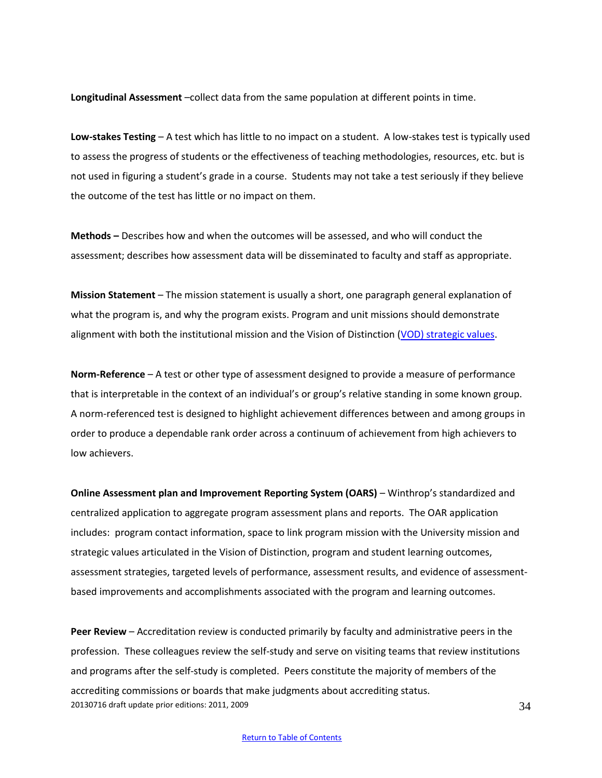**Longitudinal Assessment** –collect data from the same population at different points in time.

**Low-stakes Testing** – A test which has little to no impact on a student. A low-stakes test is typically used to assess the progress of students or the effectiveness of teaching methodologies, resources, etc. but is not used in figuring a student's grade in a course. Students may not take a test seriously if they believe the outcome of the test has little or no impact on them.

**Methods –** Describes how and when the outcomes will be assessed, and who will conduct the assessment; describes how assessment data will be disseminated to faculty and staff as appropriate.

**Mission Statement** – The mission statement is usually a short, one paragraph general explanation of what the program is, and why the program exists. Program and unit missions should demonstrate alignment with both the institutional mission and the Vision of Distinction [\(VOD\) strategic values.](http://www.winthrop.edu/uploadedFiles/president/2010-11_VoD_color.pdf)

**Norm-Reference** – A test or other type of assessment designed to provide a measure of performance that is interpretable in the context of an individual's or group's relative standing in some known group. A norm-referenced test is designed to highlight achievement differences between and among groups in order to produce a dependable rank order across a continuum of achievement from high achievers to low achievers.

**Online Assessment plan and Improvement Reporting System (OARS)** – Winthrop's standardized and centralized application to aggregate program assessment plans and reports. The OAR application includes: program contact information, space to link program mission with the University mission and strategic values articulated in the Vision of Distinction, program and student learning outcomes, assessment strategies, targeted levels of performance, assessment results, and evidence of assessmentbased improvements and accomplishments associated with the program and learning outcomes.

20130716 draft update prior editions: 2011, 2009 **Peer Review** – Accreditation review is conducted primarily by faculty and administrative peers in the profession. These colleagues review the self-study and serve on visiting teams that review institutions and programs after the self-study is completed. Peers constitute the majority of members of the accrediting commissions or boards that make judgments about accrediting status.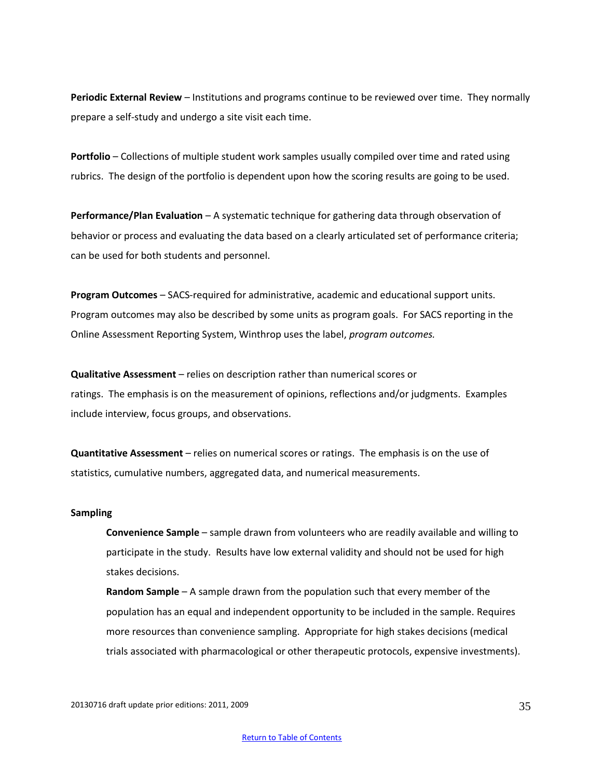**Periodic External Review** – Institutions and programs continue to be reviewed over time. They normally prepare a self-study and undergo a site visit each time.

**Portfolio** – Collections of multiple student work samples usually compiled over time and rated using rubrics. The design of the portfolio is dependent upon how the scoring results are going to be used.

**Performance/Plan Evaluation** – A systematic technique for gathering data through observation of behavior or process and evaluating the data based on a clearly articulated set of performance criteria; can be used for both students and personnel.

**Program Outcomes** – SACS-required for administrative, academic and educational support units. Program outcomes may also be described by some units as program goals. For SACS reporting in the Online Assessment Reporting System, Winthrop uses the label, *program outcomes.*

**Qualitative Assessment** – relies on description rather than numerical scores or ratings. The emphasis is on the measurement of opinions, reflections and/or judgments. Examples include interview, focus groups, and observations.

**Quantitative Assessment** – relies on numerical scores or ratings. The emphasis is on the use of statistics, cumulative numbers, aggregated data, and numerical measurements.

#### **Sampling**

**Convenience Sample** – sample drawn from volunteers who are readily available and willing to participate in the study. Results have low external validity and should not be used for high stakes decisions.

**Random Sample** – A sample drawn from the population such that every member of the population has an equal and independent opportunity to be included in the sample. Requires more resources than convenience sampling. Appropriate for high stakes decisions (medical trials associated with pharmacological or other therapeutic protocols, expensive investments).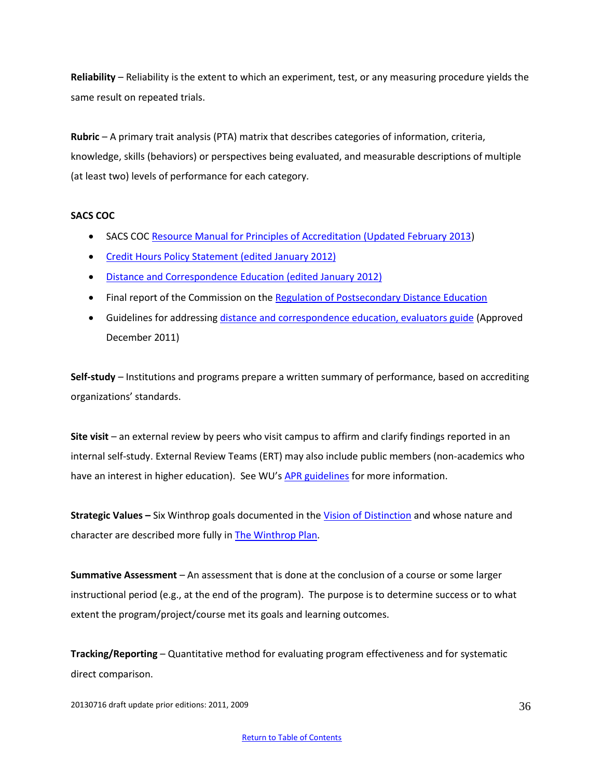**Reliability** – Reliability is the extent to which an experiment, test, or any measuring procedure yields the same result on repeated trials.

**Rubric** – A primary trait analysis (PTA) matrix that describes categories of information, criteria, knowledge, skills (behaviors) or perspectives being evaluated, and measurable descriptions of multiple (at least two) levels of performance for each category.

# **SACS COC**

- SACS COC [Resource Manual for Principles of Accreditation \(Updated February 2013\)](http://www.sacscoc.org/pdf/Resource%20Manual.pdf)
- [Credit Hours Policy Statement \(edited January 2012\)](http://www.sacscoc.org/pdf/081705/Credit%20Hours.pdf)
- Distance and Correspondence [Education \(edited January 2012\)](http://www.sacscoc.org/pdf/Distance%20and%20correspondence%20policy%20final.pdf)
- Final report of the Commission on the [Regulation of Postsecondary Distance Education](http://www.sacscoc.org/CommissionontheRegualationofPostsecondaryDistanceEducation.asp)
- **•** Guidelines for addressing [distance and correspondence education, evaluators guide](http://www.sacscoc.org/pdf/081705/Guidelines%20for%20Addressing%20Distance%20and%20Correspondence%20Education.pdf) (Approved December 2011)

**Self-study** – Institutions and programs prepare a written summary of performance, based on accrediting organizations' standards.

**Site visit** – an external review by peers who visit campus to affirm and clarify findings reported in an internal self-study. External Review Teams (ERT) may also include public members (non-academics who have an interest in higher education). See WU's [APR guidelines](http://www2.winthrop.edu/public/programreview/guidelines.aspx) for more information.

**Strategic Values –** Six Winthrop goals documented in the [Vision of Distinction](http://www.winthrop.edu/uploadedFiles/president/2010-11_VoD_color.pdf) and whose nature and character are described more fully in [The Winthrop Plan.](http://www.winthrop.edu/uploadedFiles/WinthropPlanbyNatureandCharacterTask%20Force%20FINAL%2002-4-06_2.pdf)

**Summative Assessment** – An assessment that is done at the conclusion of a course or some larger instructional period (e.g., at the end of the program). The purpose is to determine success or to what extent the program/project/course met its goals and learning outcomes.

**Tracking/Reporting** – Quantitative method for evaluating program effectiveness and for systematic direct comparison.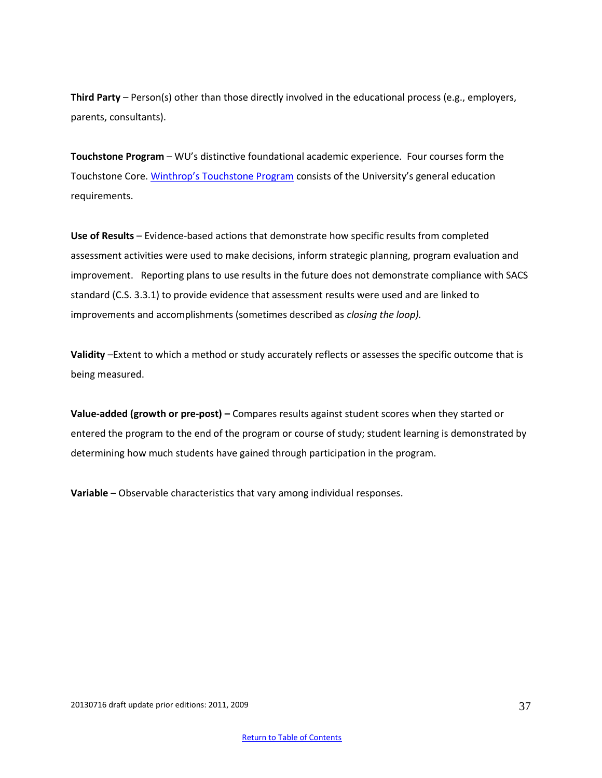**Third Party** – Person(s) other than those directly involved in the educational process (e.g., employers, parents, consultants).

**Touchstone Program** – WU's distinctive foundational academic experience. Four courses form the Touchstone Core. [Winthrop's Touchstone Program](http://www2.winthrop.edu/universitycollege/Touchstone/TouchstoneProgram.htm) consists of the University's general education requirements.

**Use of Results** – Evidence-based actions that demonstrate how specific results from completed assessment activities were used to make decisions, inform strategic planning, program evaluation and improvement.Reporting plans to use results in the future does not demonstrate compliance with SACS standard (C.S. 3.3.1) to provide evidence that assessment results were used and are linked to improvements and accomplishments (sometimes described as *closing the loop).*

**Validity** –Extent to which a method or study accurately reflects or assesses the specific outcome that is being measured.

**Value-added (growth or pre-post) –** Compares results against student scores when they started or entered the program to the end of the program or course of study; student learning is demonstrated by determining how much students have gained through participation in the program.

**Variable** – Observable characteristics that vary among individual responses.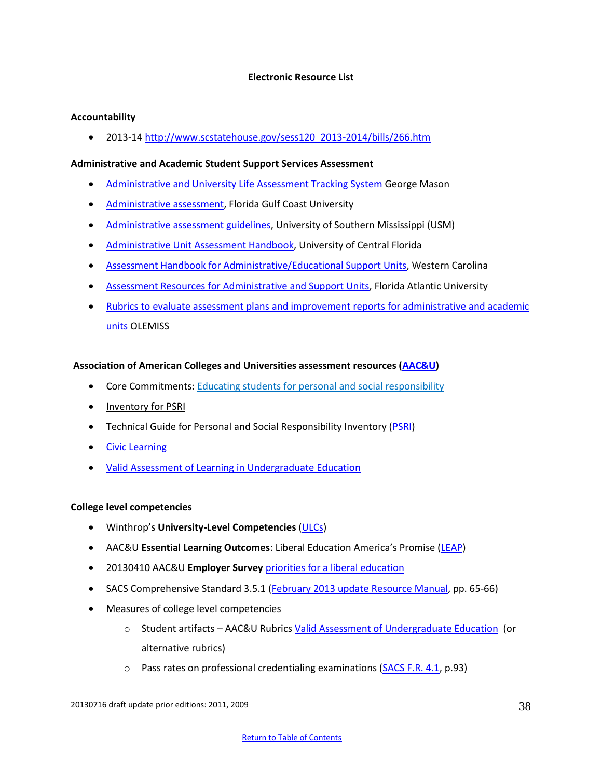# **Electronic Resource List**

# <span id="page-37-0"></span>**Accountability**

2013-14 [http://www.scstatehouse.gov/sess120\\_2013-2014/bills/266.htm](http://www.scstatehouse.gov/sess120_2013-2014/bills/266.htm)

# **Administrative and Academic Student Support Services Assessment**

- [Administrative and University Life Assessment Tracking System](https://assessment.gmu.edu/news/MATS%20Reporting%20Requirements%20for%20Admin%20Units%202011-14.pdf) George Mason
- [Administrative assessment,](http://www.fgcu.edu/planning/assessment/plans/Administrative.asp) Florida Gulf Coast University
- [Administrative assessment guidelines,](https://www.usm.edu/sites/default/files/groups/institutional-effectiveness/pdf/administrative_unit_assessment_guidelines_12.18.12.pdf) University of Southern Mississippi (USM)
- [Administrative Unit Assessment Handbook,](http://oeas.ucf.edu/doc/adm_assess_handbook.pdf) University of Central Florida
- [Assessment Handbook for Administrative/Educational Support Units,](http://www.wcu.edu/WebFiles/PDFs/AssessmentHandbook_AES.pdf) Western Carolina
- **[Assessment Resources for Administrative and Support Units,](http://www.fau.edu/iea/assessment/units.php) Florida Atlantic University**
- [Rubrics to evaluate assessment plans and improvement reports for administrative and academic](http://www.olemiss.edu/depts/university_planning/assessment/assessment_reporting_forms/index.html)  [units](http://www.olemiss.edu/depts/university_planning/assessment/assessment_reporting_forms/index.html) OLEMISS

# **Association of American Colleges and Universities assessment resources [\(AAC&U\)](http://www.aacu.org/resources/assessment/index.cfm)**

- Core Commitments: [Educating students for personal](http://www.aacu.org/core_commitments/index.cfm) and social responsibility
- [Inventory for PSRI](http://www.aacu.org/core_commitments/PSRI.cfm)
- Technical Guide for Personal and Social Responsibility Inventory [\(PSRI\)](http://www.aacu.org/core_commitments/documents/TechnicalandAdministrativeGuide2010.pdf)
- **•** [Civic Learning](http://www.aacu.org/resources/civicengagement/index.cfm)
- [Valid Assessment of Learning in Undergraduate Education](http://www.aacu.org/value/publications.cfm)

#### **College level competencies**

- Winthrop's **University-Level Competencies** [\(ULCs\)](http://www.winthrop.edu/academic-affairs/secondary.aspx?id=15731)
- AAC&U **Essential Learning Outcomes**: Liberal Education America's Promise ([LEAP\)](http://www.aacu.org/leap/index.cfm)
- 20130410 AAC&U **Employer Survey** [priorities for a liberal education](http://www.aacu.org/leap/documents/2013_EmployerSurvey.pdf)
- SACS Comprehensive Standard 3.5.1 [\(February 2013 update Resource Manual,](http://www.sacscoc.org/pdf/Resource%20Manual.pdf) pp. 65-66)
- Measures of college level competencies
	- o Student artifacts AAC&U Rubric[s Valid Assessment of Undergraduate Education](http://www.aacu.org/VALUE/rubrics/index_p.cfm) (or alternative rubrics)
	- $\circ$  Pass rates on professional credentialing examinations [\(SACS F.R. 4.1,](http://www.sacscoc.org/pdf/Resource%20Manual.pdf) p.93)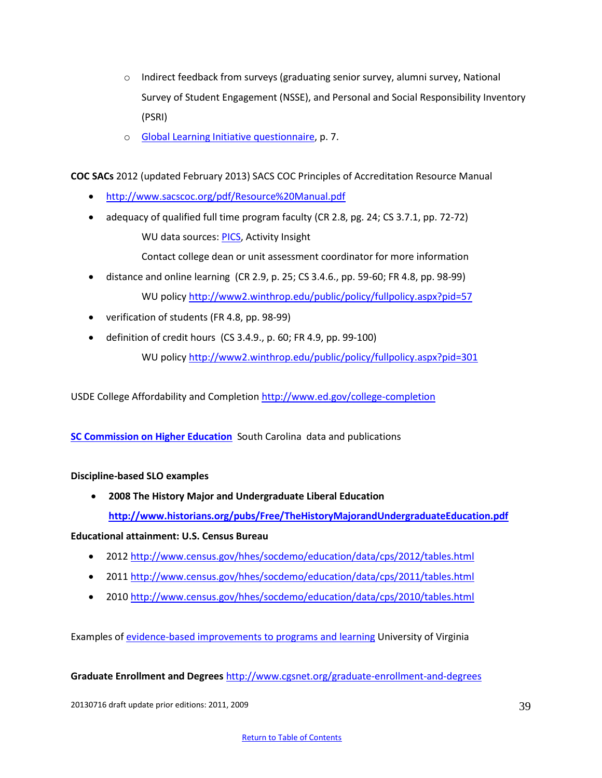- $\circ$  Indirect feedback from surveys (graduating senior survey, alumni survey, National Survey of Student Engagement (NSSE), and Personal and Social Responsibility Inventory (PSRI)
- o [Global Learning Initiative questionnaire,](http://www2.winthrop.edu/gli/wuPublicGli.pdf) p. 7.

**COC SACs** 2012 (updated February 2013) SACS COC Principles of Accreditation Resource Manual

- <http://www.sacscoc.org/pdf/Resource%20Manual.pdf>
- adequacy of qualified full time program faculty (CR 2.8, pg. 24; CS 3.7.1, pp. 72-72) WU data sources[: PICS,](http://www2.winthrop.edu/login/vita/login.aspx?ReturnUrl=%2flogin%2fvita%2fDefault.aspx&s=0) Activity Insight

Contact college dean or unit assessment coordinator for more information

- distance and online learning (CR 2.9, p. 25; CS 3.4.6., pp. 59-60; FR 4.8, pp. 98-99) WU policy<http://www2.winthrop.edu/public/policy/fullpolicy.aspx?pid=57>
- verification of students (FR 4.8, pp. 98-99)
- $\bullet$  definition of credit hours (CS 3.4.9., p. 60; FR 4.9, pp. 99-100)

WU policy <http://www2.winthrop.edu/public/policy/fullpolicy.aspx?pid=301>

USDE College Affordability and Completion<http://www.ed.gov/college-completion>

**[SC Commission on Higher Education](http://www.che.sc.gov/New_Web/Data&Pubs.htm)** South Carolina data and publications

#### **Discipline-based SLO examples**

 **2008 The History Major and Undergraduate Liberal Education <http://www.historians.org/pubs/Free/TheHistoryMajorandUndergraduateEducation.pdf>**

**Educational attainment: U.S. Census Bureau**

- 2012<http://www.census.gov/hhes/socdemo/education/data/cps/2012/tables.html>
- 2011<http://www.census.gov/hhes/socdemo/education/data/cps/2011/tables.html>
- 2010<http://www.census.gov/hhes/socdemo/education/data/cps/2010/tables.html>

Examples o[f evidence-based improvements to programs and learning](http://avillage.web.virginia.edu/iaas/assess/process/listofimprovements.shtm) University of Virginia

**Graduate Enrollment and Degrees** <http://www.cgsnet.org/graduate-enrollment-and-degrees>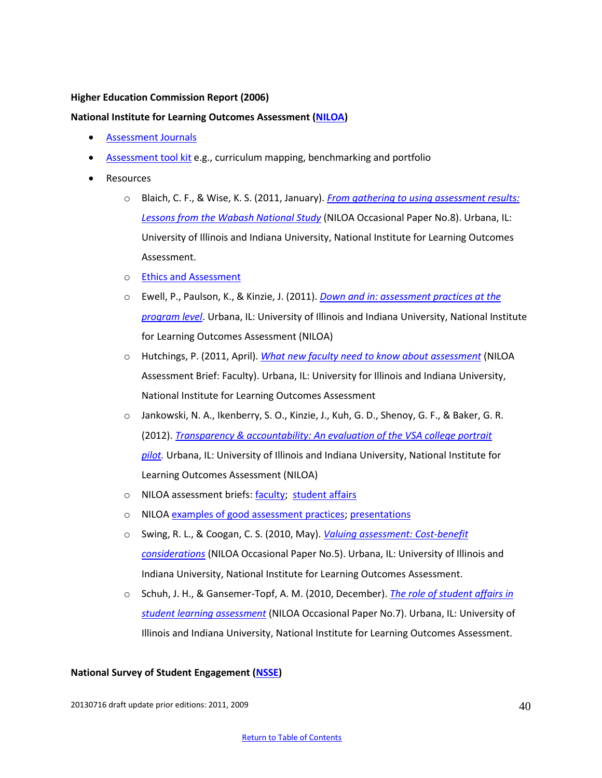#### **Higher Education Commission Report (2006)**

# **National Institute for Learning Outcomes Assessment [\(NILOA\)](http://www.learningoutcomeassessment.org/)**

- [Assessment Journals](http://www.learningoutcomesassessment.org/AssessmentBriefs.htm)
- [Assessment tool kit](http://www.learningoutcomeassessment.org/ToolKit.html) e.g., curriculum mapping, benchmarking and portfolio
- Resources
	- o Blaich, C. F., & Wise, K. S. (2011, January). *[From gathering to using assessment results:](http://www.learningoutcomesassessment.org/documents/Wabash_001.pdf)  [Lessons from the Wabash National Study](http://www.learningoutcomesassessment.org/documents/Wabash_001.pdf)* (NILOA Occasional Paper No.8). Urbana, IL: University of Illinois and Indiana University, National Institute for Learning Outcomes Assessment.
	- o [Ethics and Assessment](http://illinois.edu/blog/view/915/79573?displayOrder=desc&displayType=none&displayColumn=created&displayCount=1)
	- o Ewell, P., Paulson, K., & Kinzie, J. (2011). *[Down and in: assessment practices at the](http://www.learningoutcomeassessment.org/DownAndIn.htm)  [program level](http://www.learningoutcomeassessment.org/DownAndIn.htm)*. Urbana, IL: University of Illinois and Indiana University, National Institute for Learning Outcomes Assessment (NILOA)
	- o Hutchings, P. (2011, April). *[What new faculty need to know about assessment](http://www.learningoutcomesassessment.org/documents/ABfaculty.pdf)* (NILOA Assessment Brief: Faculty). Urbana, IL: University for Illinois and Indiana University, National Institute for Learning Outcomes Assessment
	- o Jankowski, N. A., Ikenberry, S. O., Kinzie, J., Kuh, G. D., Shenoy, G. F., & Baker, G. R. (2012). *[Transparency & accountability: An evaluation of the VSA college portrait](http://www.learningoutcomeassessment.org/VSA.htm)  [pilot.](http://www.learningoutcomeassessment.org/VSA.htm)* Urbana, IL: University of Illinois and Indiana University, National Institute for Learning Outcomes Assessment (NILOA)
	- o NILOA assessment briefs[: faculty;](http://www.learningoutcomesassessment.org/ABfaculty.htm) [student affairs](http://www.learningoutcomesassessment.org/ABstudentaffairs.htm)
	- o NILO[A examples of good assessment practices;](http://www.learningoutcomesassessment.org/CaseStudiesInstitutions.html) [presentations](http://www.learningoutcomesassessment.org/NILOApresentations.html)
	- o Swing, R. L., & Coogan, C. S. (2010, May). *[Valuing assessment: Cost-benefit](http://learningoutcomesassessment.org/documents/SwingCoogan_001.pdf)  [considerations](http://learningoutcomesassessment.org/documents/SwingCoogan_001.pdf)* (NILOA Occasional Paper No.5). Urbana, IL: University of Illinois and Indiana University, National Institute for Learning Outcomes Assessment.
	- o Schuh, J. H., & Gansemer-Topf, A. M. (2010, December). *[The role of student affairs in](http://www.learningoutcomesassessment.org/documents/StudentAffairsRole.pdf)  [student learning assessment](http://www.learningoutcomesassessment.org/documents/StudentAffairsRole.pdf)* (NILOA Occasional Paper No.7). Urbana, IL: University of Illinois and Indiana University, National Institute for Learning Outcomes Assessment.

#### **National Survey of Student Engagement [\(NSSE\)](uhttp://nsse.iub.edu/index.cfmU)**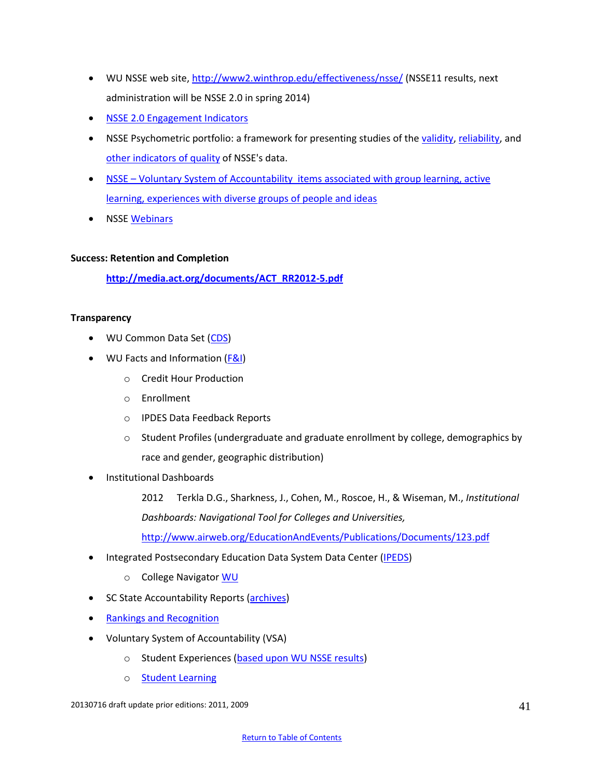- WU NSSE web site,<http://www2.winthrop.edu/effectiveness/nsse/> (NSSE11 results, next administration will be NSSE 2.0 in spring 2014)
- [NSSE 2.0 Engagement Indicators](http://nsse.iub.edu/nsse-update/)
- NSSE Psychometric portfolio: a framework for presenting studies of the [validity,](http://nsse.iub.edu/_/?cid=308) [reliability,](http://nsse.iub.edu/_/?cid=309) and [other indicators of](http://nsse.iub.edu/_/?cid=310) quality of NSSE's data.
- NSSE Voluntary System of Accountability items associated with group learning, active [learning, experiences with diverse groups of people and ideas](http://nsse.iub.edu/pdf/vsa/VSA_NSSE_Codebook.pdf)
- NSSE [Webinars](http://nsse.iub.edu/webinars/)

# **Success: Retention and Completion**

**[http://media.act.org/documents/ACT\\_RR2012-5.pdf](http://media.act.org/documents/ACT_RR2012-5.pdf)**

# **Transparency**

- WU Common Data Set [\(CDS\)](http://www.winthrop.edu/accountability/default.aspx?id=11925)
- WU Facts and Information [\(F&I\)](http://www.winthrop.edu/accountability/default.aspx?id=20545)
	- o Credit Hour Production
	- o Enrollment
	- o IPDES Data Feedback Reports
	- $\circ$  Student Profiles (undergraduate and graduate enrollment by college, demographics by race and gender, geographic distribution)
- Institutional Dashboards
	- 2012 Terkla D.G., Sharkness, J., Cohen, M., Roscoe, H., & Wiseman, M., *Institutional Dashboards: Navigational Tool for Colleges and Universities,*

<http://www.airweb.org/EducationAndEvents/Publications/Documents/123.pdf>

- Integrated Postsecondary Education Data System Data Center [\(IPEDS\)](http://nces.ed.gov/ipeds/datacenter/)
	- o College Navigato[r WU](http://nces.ed.gov/collegenavigator/?q=winthrop+university&s=SC&zc=29733&zd=5&of=3&id=218964)
- SC State Accountability Reports [\(archives\)](http://www.winthrop.edu/accountability/default.aspx?id=7996)
- [Rankings and Recognition](http://www.winthrop.edu/president/default.aspx?id=13011)
- Voluntary System of Accountability (VSA)
	- o Student Experiences [\(based upon WU NSSE results\)](http://www.collegeportraits.org/SC/WU/student_experiences)
	- o [Student Learning](http://www.collegeportraits.org/SC/WU/learning_outcomes)